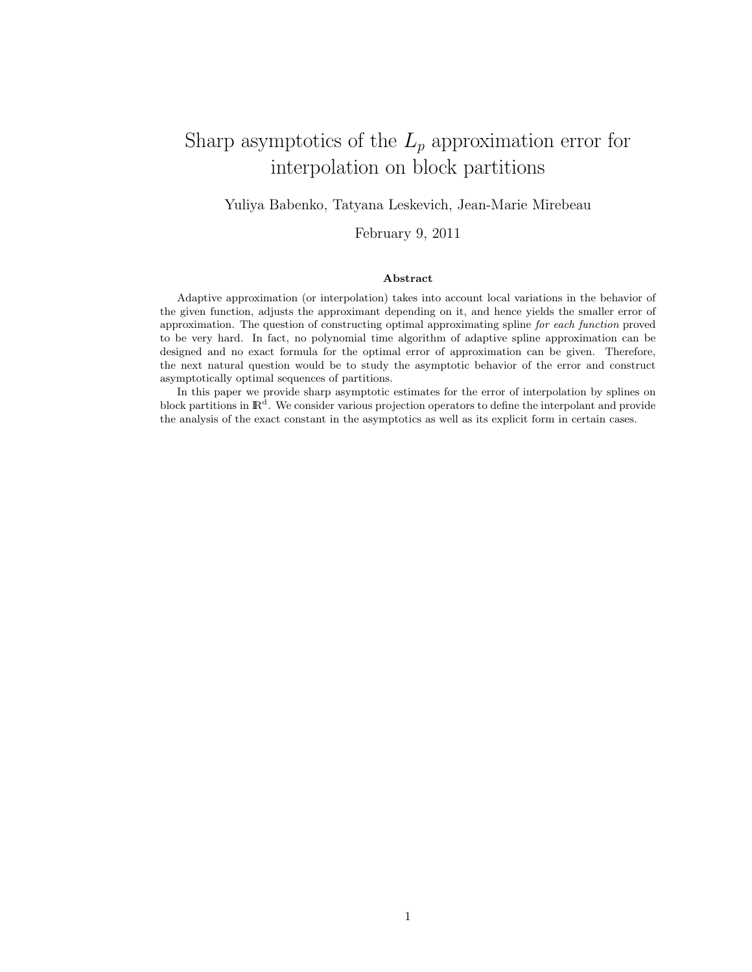# Sharp asymptotics of the  $L_p$  approximation error for interpolation on block partitions

#### Yuliya Babenko, Tatyana Leskevich, Jean-Marie Mirebeau

February 9, 2011

#### Abstract

Adaptive approximation (or interpolation) takes into account local variations in the behavior of the given function, adjusts the approximant depending on it, and hence yields the smaller error of approximation. The question of constructing optimal approximating spline for each function proved to be very hard. In fact, no polynomial time algorithm of adaptive spline approximation can be designed and no exact formula for the optimal error of approximation can be given. Therefore, the next natural question would be to study the asymptotic behavior of the error and construct asymptotically optimal sequences of partitions.

In this paper we provide sharp asymptotic estimates for the error of interpolation by splines on block partitions in  $\mathbb{R}^d$ . We consider various projection operators to define the interpolant and provide the analysis of the exact constant in the asymptotics as well as its explicit form in certain cases.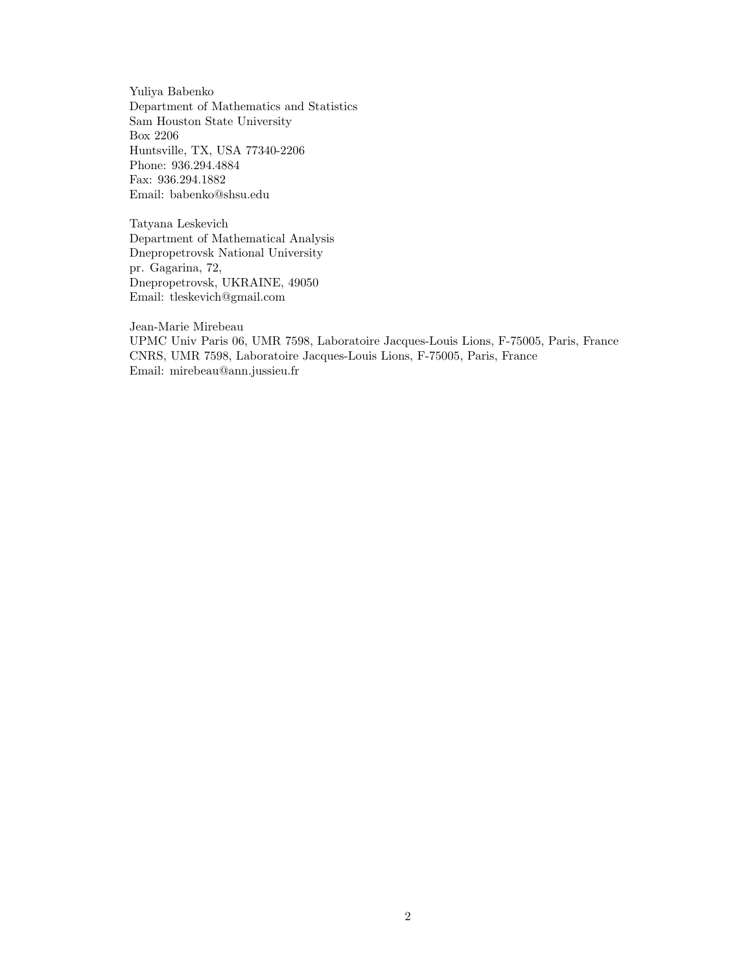Yuliya Babenko Department of Mathematics and Statistics Sam Houston State University Box 2206 Huntsville, TX, USA 77340-2206 Phone: 936.294.4884 Fax: 936.294.1882 Email: babenko@shsu.edu

Tatyana Leskevich Department of Mathematical Analysis Dnepropetrovsk National University pr. Gagarina, 72, Dnepropetrovsk, UKRAINE, 49050 Email: tleskevich@gmail.com

Jean-Marie Mirebeau

UPMC Univ Paris 06, UMR 7598, Laboratoire Jacques-Louis Lions, F-75005, Paris, France CNRS, UMR 7598, Laboratoire Jacques-Louis Lions, F-75005, Paris, France Email: mirebeau@ann.jussieu.fr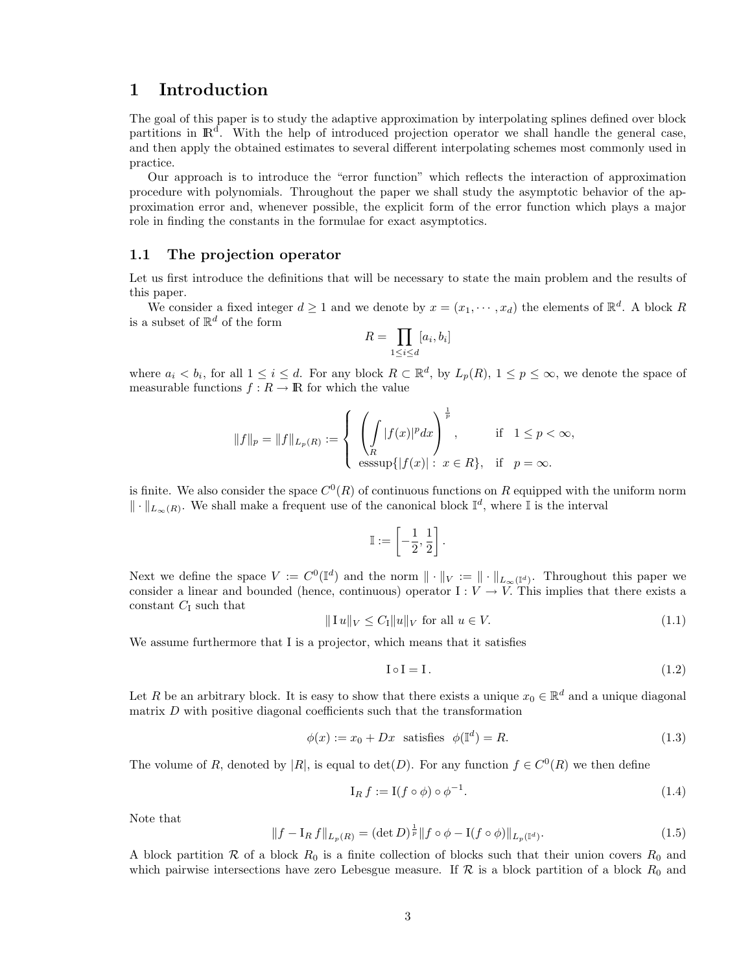# 1 Introduction

The goal of this paper is to study the adaptive approximation by interpolating splines defined over block partitions in  $\mathbb{R}^d$ . With the help of introduced projection operator we shall handle the general case, and then apply the obtained estimates to several different interpolating schemes most commonly used in practice.

Our approach is to introduce the "error function" which reflects the interaction of approximation procedure with polynomials. Throughout the paper we shall study the asymptotic behavior of the approximation error and, whenever possible, the explicit form of the error function which plays a major role in finding the constants in the formulae for exact asymptotics.

#### 1.1 The projection operator

Let us first introduce the definitions that will be necessary to state the main problem and the results of this paper.

We consider a fixed integer  $d \geq 1$  and we denote by  $x = (x_1, \dots, x_d)$  the elements of  $\mathbb{R}^d$ . A block R is a subset of  $\mathbb{R}^d$  of the form

$$
R = \prod_{1 \le i \le d} [a_i, b_i]
$$

where  $a_i < b_i$ , for all  $1 \leq i \leq d$ . For any block  $R \subset \mathbb{R}^d$ , by  $L_p(R)$ ,  $1 \leq p \leq \infty$ , we denote the space of measurable functions  $f: R \rightarrow {\rm I\!R}$  for which the value

$$
||f||_p = ||f||_{L_p(R)} := \begin{cases} \left(\int_R |f(x)|^p dx\right)^{\frac{1}{p}}, & \text{if } 1 \le p < \infty, \\ \left.\int_R |f(x)|^p dx\right)^{\frac{1}{p}}, & \text{if } p = \infty. \end{cases}
$$

is finite. We also consider the space  $C^0(R)$  of continuous functions on R equipped with the uniform norm  $\|\cdot\|_{L_{\infty}(R)}$ . We shall make a frequent use of the canonical block  $\mathbb{I}^d$ , where I is the interval

$$
\mathbb{I}:=\left[-\frac{1}{2},\frac{1}{2}\right]
$$

.

Next we define the space  $V := C^{0}(\mathbb{I}^{d})$  and the norm  $\|\cdot\|_{V} := \|\cdot\|_{L_{\infty}(\mathbb{I}^{d})}$ . Throughout this paper we consider a linear and bounded (hence, continuous) operator  $I: V \to V$ . This implies that there exists a constant  $C_I$  such that

<span id="page-2-0"></span>
$$
\|\operatorname{I} u\|_{V} \le C_{\operatorname{I}} \|u\|_{V} \text{ for all } u \in V. \tag{1.1}
$$

We assume furthermore that I is a projector, which means that it satisfies

<span id="page-2-1"></span>
$$
I \circ I = I. \tag{1.2}
$$

Let R be an arbitrary block. It is easy to show that there exists a unique  $x_0 \in \mathbb{R}^d$  and a unique diagonal matrix  $D$  with positive diagonal coefficients such that the transformation

<span id="page-2-4"></span>
$$
\phi(x) := x_0 + Dx \text{ satisfies } \phi(\mathbb{I}^d) = R. \tag{1.3}
$$

The volume of R, denoted by |R|, is equal to  $\det(D)$ . For any function  $f \in C^{0}(R)$  we then define

<span id="page-2-2"></span>
$$
I_R f := I(f \circ \phi) \circ \phi^{-1}.
$$
\n(1.4)

Note that

<span id="page-2-3"></span>
$$
||f - I_R f||_{L_p(R)} = (\det D)^{\frac{1}{p}} ||f \circ \phi - I(f \circ \phi)||_{L_p(\mathbb{I}^d)}.
$$
\n(1.5)

A block partition R of a block  $R_0$  is a finite collection of blocks such that their union covers  $R_0$  and which pairwise intersections have zero Lebesgue measure. If  $R$  is a block partition of a block  $R_0$  and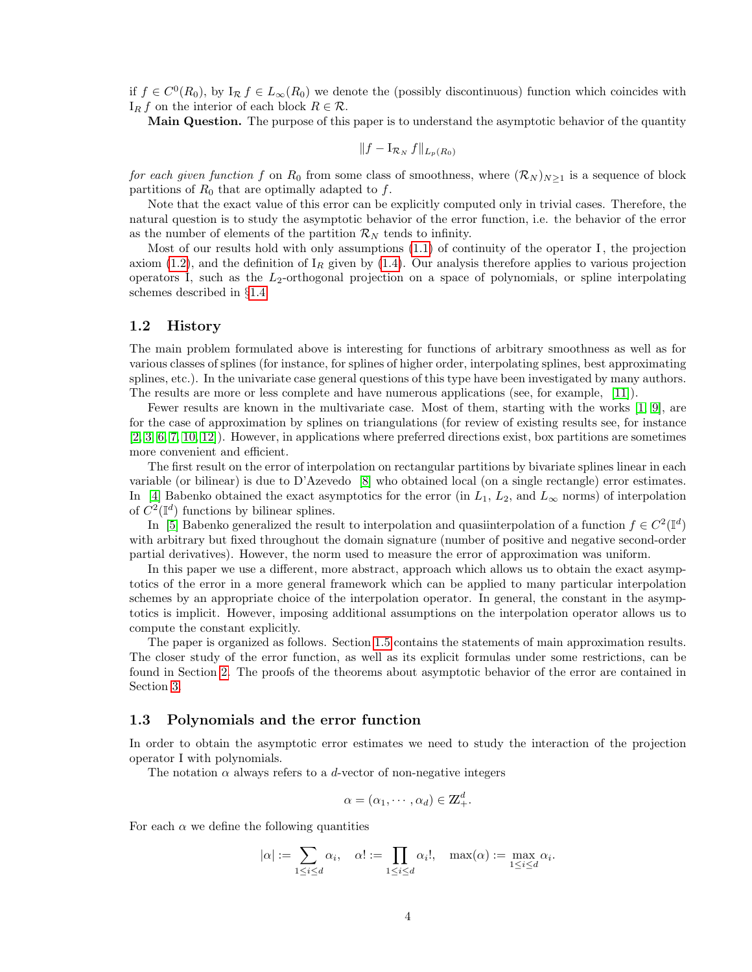if  $f \in C^{0}(R_{0}),$  by  $I_{\mathcal{R}} f \in L_{\infty}(R_{0})$  we denote the (possibly discontinuous) function which coincides with  $I_R f$  on the interior of each block  $R \in \mathcal{R}$ .

Main Question. The purpose of this paper is to understand the asymptotic behavior of the quantity

$$
||f - I_{\mathcal{R}_N} f||_{L_p(R_0)}
$$

for each given function f on  $R_0$  from some class of smoothness, where  $(\mathcal{R}_N)_{N\geq 1}$  is a sequence of block partitions of  $R_0$  that are optimally adapted to f.

Note that the exact value of this error can be explicitly computed only in trivial cases. Therefore, the natural question is to study the asymptotic behavior of the error function, i.e. the behavior of the error as the number of elements of the partition  $\mathcal{R}_N$  tends to infinity.

Most of our results hold with only assumptions  $(1.1)$  of continuity of the operator I, the projection axiom [\(1.2\)](#page-2-1), and the definition of  $I_R$  given by [\(1.4\)](#page-2-2). Our analysis therefore applies to various projection operators I, such as the  $L_2$ -orthogonal projection on a space of polynomials, or spline interpolating schemes described in §[1.4.](#page-5-0)

#### 1.2 History

The main problem formulated above is interesting for functions of arbitrary smoothness as well as for various classes of splines (for instance, for splines of higher order, interpolating splines, best approximating splines, etc.). In the univariate case general questions of this type have been investigated by many authors. The results are more or less complete and have numerous applications (see, for example, [\[11\]](#page-19-0)).

Fewer results are known in the multivariate case. Most of them, starting with the works [\[1,](#page-18-0) [9\]](#page-19-1), are for the case of approximation by splines on triangulations (for review of existing results see, for instance [\[2,](#page-18-1) [3,](#page-18-2) [6,](#page-19-2) [7,](#page-19-3) [10,](#page-19-4) [12\]](#page-19-5)). However, in applications where preferred directions exist, box partitions are sometimes more convenient and efficient.

The first result on the error of interpolation on rectangular partitions by bivariate splines linear in each variable (or bilinear) is due to D'Azevedo [\[8\]](#page-19-6) who obtained local (on a single rectangle) error estimates. In [\[4\]](#page-18-3) Babenko obtained the exact asymptotics for the error (in  $L_1$ ,  $L_2$ , and  $L_{\infty}$  norms) of interpolation of  $C^2(\mathbb{I}^d)$  functions by bilinear splines.

In [\[5\]](#page-19-7) Babenko generalized the result to interpolation and quasiinterpolation of a function  $f \in C^2(\mathbb{I}^d)$ with arbitrary but fixed throughout the domain signature (number of positive and negative second-order partial derivatives). However, the norm used to measure the error of approximation was uniform.

In this paper we use a different, more abstract, approach which allows us to obtain the exact asymptotics of the error in a more general framework which can be applied to many particular interpolation schemes by an appropriate choice of the interpolation operator. In general, the constant in the asymptotics is implicit. However, imposing additional assumptions on the interpolation operator allows us to compute the constant explicitly.

The paper is organized as follows. Section [1.5](#page-6-0) contains the statements of main approximation results. The closer study of the error function, as well as its explicit formulas under some restrictions, can be found in Section [2.](#page-7-0) The proofs of the theorems about asymptotic behavior of the error are contained in Section [3.](#page-12-0)

#### 1.3 Polynomials and the error function

In order to obtain the asymptotic error estimates we need to study the interaction of the projection operator I with polynomials.

The notation  $\alpha$  always refers to a *d*-vector of non-negative integers

$$
\alpha = (\alpha_1, \cdots, \alpha_d) \in \mathbb{Z}_+^d.
$$

For each  $\alpha$  we define the following quantities

$$
|\alpha| := \sum_{1 \leq i \leq d} \alpha_i, \quad \alpha! := \prod_{1 \leq i \leq d} \alpha_i!, \quad \max(\alpha) := \max_{1 \leq i \leq d} \alpha_i.
$$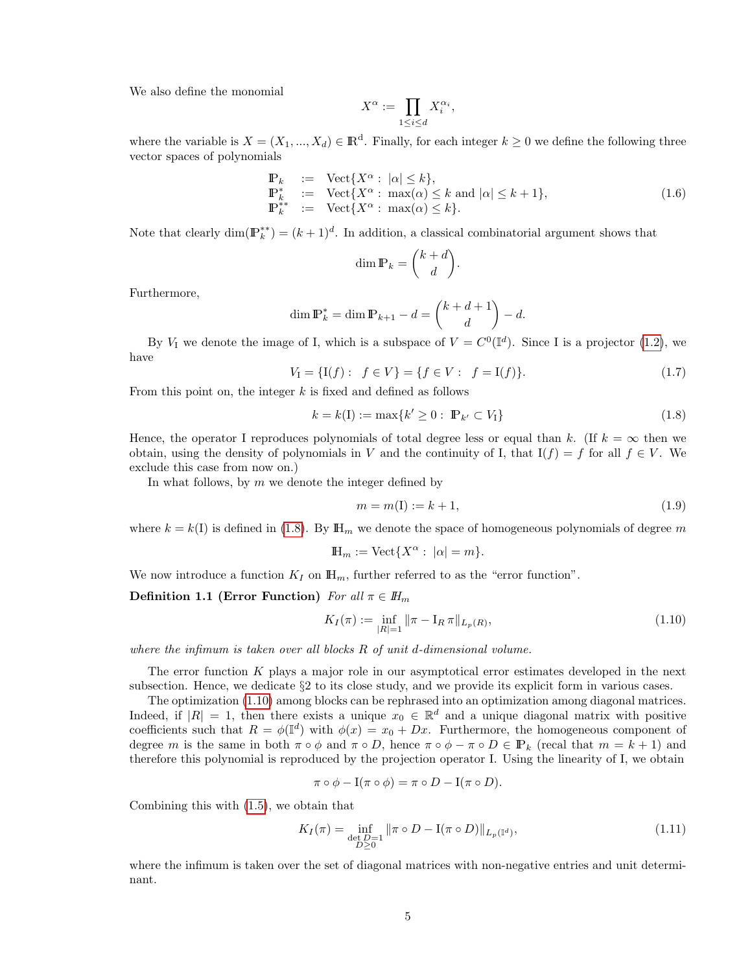We also define the monomial

$$
X^{\alpha} := \prod_{1 \leq i \leq d} X_i^{\alpha_i},
$$

where the variable is  $X = (X_1, ..., X_d) \in \mathbb{R}^d$ . Finally, for each integer  $k \geq 0$  we define the following three vector spaces of polynomials

<span id="page-4-2"></span>
$$
\begin{array}{rcl}\n\mathbb{P}_k &:= & \text{Vect}\{X^\alpha : |\alpha| \le k\}, \\
\mathbb{P}_k^* &:= & \text{Vect}\{X^\alpha : \max(\alpha) \le k \text{ and } |\alpha| \le k+1\}, \\
\mathbb{P}_k^{**} &:= & \text{Vect}\{X^\alpha : \max(\alpha) \le k\}.\n\end{array} \tag{1.6}
$$

Note that clearly  $\dim(\mathbb{P}_k^{**}) = (k+1)^d$ . In addition, a classical combinatorial argument shows that

$$
\dim \mathbb{P}_k = \binom{k+d}{d}.
$$

Furthermore,

$$
\dim \mathbb{P}_k^* = \dim \mathbb{P}_{k+1} - d = \binom{k+d+1}{d} - d.
$$

By  $V_I$  we denote the image of I, which is a subspace of  $V = C^0(\mathbb{I}^d)$ . Since I is a projector [\(1.2\)](#page-2-1), we have

$$
V_{\mathcal{I}} = \{ \mathcal{I}(f) : \ f \in V \} = \{ f \in V : \ f = \mathcal{I}(f) \}. \tag{1.7}
$$

From this point on, the integer  $k$  is fixed and defined as follows

<span id="page-4-0"></span>
$$
k = k(I) := \max\{k' \ge 0 : \mathbb{P}_{k'} \subset V_I\}
$$
\n(1.8)

Hence, the operator I reproduces polynomials of total degree less or equal than k. (If  $k = \infty$  then we obtain, using the density of polynomials in V and the continuity of I, that  $I(f) = f$  for all  $f \in V$ . We exclude this case from now on.)

In what follows, by  $m$  we denote the integer defined by

$$
m = m(I) := k + 1,\t\t(1.9)
$$

where  $k = k(1)$  is defined in [\(1.8\)](#page-4-0). By  $\mathbb{H}_m$  we denote the space of homogeneous polynomials of degree m

$$
\mathbb{H}_m := \text{Vect}\{X^\alpha : |\alpha| = m\}.
$$

We now introduce a function  $K_I$  on  $\mathbb{H}_m$ , further referred to as the "error function".

Definition 1.1 (Error Function) For all  $\pi \in H_m$ 

<span id="page-4-1"></span>
$$
K_I(\pi) := \inf_{|R|=1} \|\pi - \mathcal{I}_R \pi\|_{L_p(R)},\tag{1.10}
$$

where the infimum is taken over all blocks  $R$  of unit d-dimensional volume.

The error function K plays a major role in our asymptotical error estimates developed in the next subsection. Hence, we dedicate §2 to its close study, and we provide its explicit form in various cases.

The optimization [\(1.10\)](#page-4-1) among blocks can be rephrased into an optimization among diagonal matrices. Indeed, if  $|R| = 1$ , then there exists a unique  $x_0 \in \mathbb{R}^d$  and a unique diagonal matrix with positive coefficients such that  $R = \phi(\mathbb{I}^d)$  with  $\phi(x) = x_0 + Dx$ . Furthermore, the homogeneous component of degree m is the same in both  $\pi \circ \phi$  and  $\pi \circ D$ , hence  $\pi \circ \phi - \pi \circ D \in \mathbb{P}_k$  (recal that  $m = k + 1$ ) and therefore this polynomial is reproduced by the projection operator I. Using the linearity of I, we obtain

$$
\pi \circ \phi - \mathcal{I}(\pi \circ \phi) = \pi \circ D - \mathcal{I}(\pi \circ D).
$$

Combining this with [\(1.5\)](#page-2-3), we obtain that

<span id="page-4-3"></span>
$$
K_I(\pi) = \inf_{\substack{\det D = 1 \\ D \ge 0}} ||\pi \circ D - I(\pi \circ D)||_{L_p(\mathbb{I}^d)},
$$
\n(1.11)

where the infimum is taken over the set of diagonal matrices with non-negative entries and unit determinant.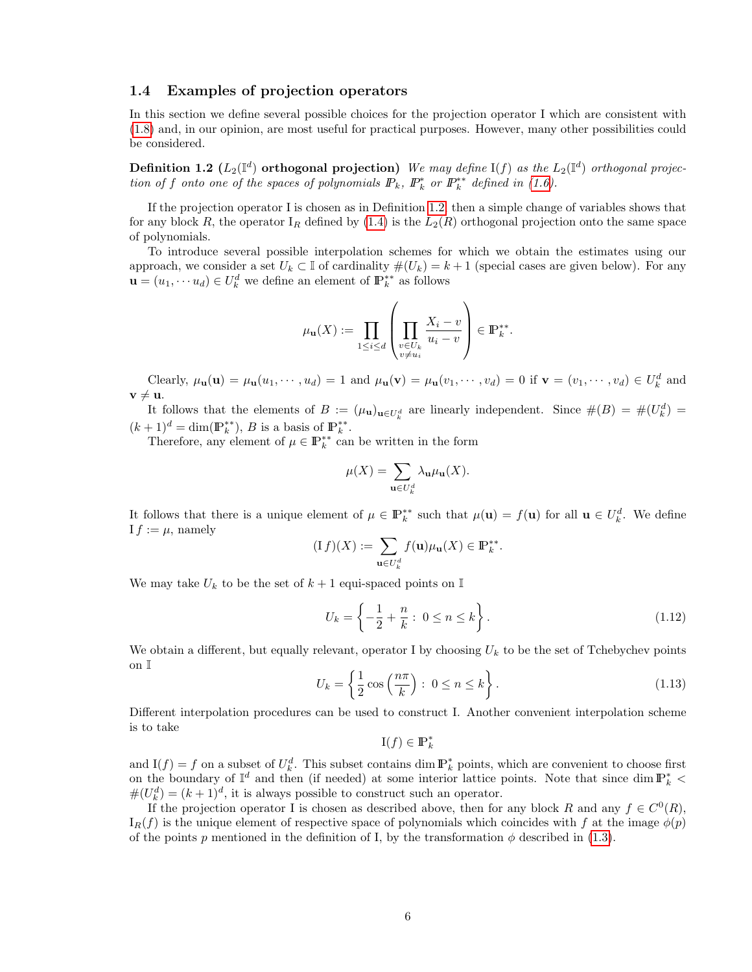#### <span id="page-5-0"></span>1.4 Examples of projection operators

<span id="page-5-1"></span>In this section we define several possible choices for the projection operator I which are consistent with [\(1.8\)](#page-4-0) and, in our opinion, are most useful for practical purposes. However, many other possibilities could be considered.

**Definition 1.2**  $(L_2(\mathbb{I}^d))$  orthogonal projection) We may define  $I(f)$  as the  $L_2(\mathbb{I}^d)$  orthogonal projection of f onto one of the spaces of polynomials  $\mathbb{P}_k$ ,  $\mathbb{P}_k^*$  or  $\mathbb{P}_k^{**}$  defined in [\(1.6\)](#page-4-2).

If the projection operator I is chosen as in Definition [1.2,](#page-5-1) then a simple change of variables shows that for any block R, the operator  $I_R$  defined by  $(1.4)$  is the  $L_2(R)$  orthogonal projection onto the same space of polynomials.

To introduce several possible interpolation schemes for which we obtain the estimates using our approach, we consider a set  $U_k \subset \mathbb{I}$  of cardinality  $\#(U_k) = k+1$  (special cases are given below). For any  $\mathbf{u} = (u_1, \dots, u_d) \in U_k^d$  we define an element of  $\mathbb{P}_k^{**}$  as follows

$$
\mu_{\mathbf{u}}(X) := \prod_{1 \leq i \leq d} \left( \prod_{\substack{v \in U_k \\ v \neq u_i}} \frac{X_i - v}{u_i - v} \right) \in \mathbb{P}_k^{**}.
$$

Clearly,  $\mu_{\mathbf{u}}(\mathbf{u}) = \mu_{\mathbf{u}}(u_1, \dots, u_d) = 1$  and  $\mu_{\mathbf{u}}(\mathbf{v}) = \mu_{\mathbf{u}}(v_1, \dots, v_d) = 0$  if  $\mathbf{v} = (v_1, \dots, v_d) \in U_k^d$  and  $v \neq u$ .

It follows that the elements of  $B := (\mu_{\mathbf{u}})_{\mathbf{u} \in U^d_k}$  are linearly independent. Since  $\#(B) = \#(U^d_k) =$  $(k+1)^d = \dim(\mathbb{P}_k^{**}), B$  is a basis of  $\mathbb{P}_k^{**}.$ 

Therefore, any element of  $\mu \in \mathbb{P}_{k}^{**}$  can be written in the form

$$
\mu(X) = \sum_{\mathbf{u} \in U_k^d} \lambda_{\mathbf{u}} \mu_{\mathbf{u}}(X).
$$

It follows that there is a unique element of  $\mu \in \mathbb{P}_k^{**}$  such that  $\mu(\mathbf{u}) = f(\mathbf{u})$  for all  $\mathbf{u} \in U_k^d$ . We define  $I f := \mu$ , namely

$$
(\mathrm{I} f)(X) := \sum_{\mathbf{u} \in U_k^d} f(\mathbf{u}) \mu_{\mathbf{u}}(X) \in \mathbb{P}_k^{**}.
$$

We may take  $U_k$  to be the set of  $k+1$  equi-spaced points on  $\mathbb I$ 

<span id="page-5-2"></span>
$$
U_k = \left\{ -\frac{1}{2} + \frac{n}{k} : 0 \le n \le k \right\}.
$$
 (1.12)

We obtain a different, but equally relevant, operator I by choosing  $U_k$  to be the set of Tchebychev points on I

<span id="page-5-3"></span>
$$
U_k = \left\{ \frac{1}{2} \cos\left(\frac{n\pi}{k}\right) : 0 \le n \le k \right\}.
$$
\n(1.13)

Different interpolation procedures can be used to construct I. Another convenient interpolation scheme is to take

$$
\mathbf{I}(f) \in \mathbb{P}_k^*
$$

and  $I(f) = f$  on a subset of  $U_k^d$ . This subset contains dim  $\mathbb{P}_k^*$  points, which are convenient to choose first on the boundary of  $\mathbb{I}^d$  and then (if needed) at some interior lattice points. Note that since dim  $\mathbb{P}_k^*$  <  $\#(U_k^d) = (k+1)^d$ , it is always possible to construct such an operator.

If the projection operator I is chosen as described above, then for any block R and any  $f \in C^{0}(R)$ ,  $I_R(f)$  is the unique element of respective space of polynomials which coincides with f at the image  $\phi(p)$ of the points p mentioned in the definition of I, by the transformation  $\phi$  described in [\(1.3\)](#page-2-4).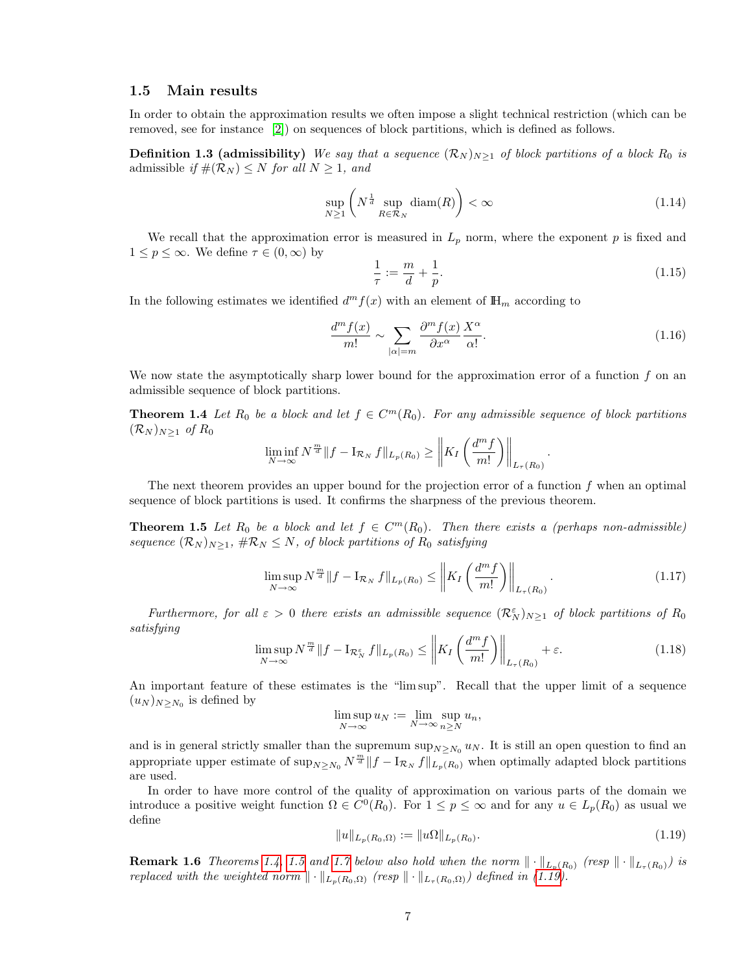#### <span id="page-6-0"></span>1.5 Main results

In order to obtain the approximation results we often impose a slight technical restriction (which can be removed, see for instance [\[2\]](#page-18-1)) on sequences of block partitions, which is defined as follows.

**Definition 1.3 (admissibility)** We say that a sequence  $(\mathcal{R}_N)_{N\geq 1}$  of block partitions of a block  $R_0$  is admissible if  $\#(\mathcal{R}_N) \leq N$  for all  $N \geq 1$ , and

$$
\sup_{N\geq 1} \left( N^{\frac{1}{d}} \sup_{R\in\mathcal{R}_N} \text{diam}(R) \right) < \infty \tag{1.14}
$$

We recall that the approximation error is measured in  $L_p$  norm, where the exponent p is fixed and  $1 \leq p \leq \infty$ . We define  $\tau \in (0, \infty)$  by

$$
\frac{1}{\tau} := \frac{m}{d} + \frac{1}{p}.\tag{1.15}
$$

.

In the following estimates we identified  $d^m f(x)$  with an element of  $\mathbb{H}_m$  according to

<span id="page-6-7"></span><span id="page-6-1"></span>
$$
\frac{d^m f(x)}{m!} \sim \sum_{|\alpha|=m} \frac{\partial^m f(x)}{\partial x^{\alpha}} \frac{X^{\alpha}}{\alpha!}.
$$
\n(1.16)

We now state the asymptotically sharp lower bound for the approximation error of a function  $f$  on an admissible sequence of block partitions.

**Theorem 1.4** Let  $R_0$  be a block and let  $f \in C^m(R_0)$ . For any admissible sequence of block partitions  $(\mathcal{R}_N)_{N\geq 1}$  of  $R_0$ 

$$
\liminf_{N \to \infty} N^{\frac{m}{d}} \| f - I_{\mathcal{R}_N} f \|_{L_p(R_0)} \ge \left\| K_I \left( \frac{d^m f}{m!} \right) \right\|_{L_\tau(R_0)}
$$

The next theorem provides an upper bound for the projection error of a function  $f$  when an optimal sequence of block partitions is used. It confirms the sharpness of the previous theorem.

<span id="page-6-2"></span>**Theorem 1.5** Let  $R_0$  be a block and let  $f \in C^m(R_0)$ . Then there exists a (perhaps non-admissible) sequence  $(\mathcal{R}_N)_{N>1}$ ,  $\#\mathcal{R}_N \leq N$ , of block partitions of  $R_0$  satisfying

<span id="page-6-5"></span>
$$
\limsup_{N \to \infty} N^{\frac{m}{d}} \|f - \mathcal{I}_{\mathcal{R}_N} f\|_{L_p(R_0)} \le \left\| K_I \left( \frac{d^m f}{m!} \right) \right\|_{L_\tau(R_0)}.
$$
\n(1.17)

Furthermore, for all  $\varepsilon > 0$  there exists an admissible sequence  $(\mathcal{R}_N^{\varepsilon})_{N \geq 1}$  of block partitions of  $R_0$ satisfying

<span id="page-6-4"></span>
$$
\limsup_{N \to \infty} N^{\frac{m}{d}} \| f - \mathcal{I}_{\mathcal{R}_N^{\varepsilon}} f \|_{L_p(R_0)} \leq \left\| K_I \left( \frac{d^m f}{m!} \right) \right\|_{L_\tau(R_0)} + \varepsilon. \tag{1.18}
$$

An important feature of these estimates is the "lim sup". Recall that the upper limit of a sequence  $(u_N)_{N\geq N_0}$  is defined by

$$
\limsup_{N \to \infty} u_N := \lim_{N \to \infty} \sup_{n \ge N} u_n,
$$

and is in general strictly smaller than the supremum  $\sup_{N\geq N_0} u_N$ . It is still an open question to find an appropriate upper estimate of  $\sup_{N\geq N_0} N^{\frac{m}{d}} \|f - I_{\mathcal{R}_N} f\|_{L_p(R_0)}$  when optimally adapted block partitions are used.

In order to have more control of the quality of approximation on various parts of the domain we introduce a positive weight function  $\Omega \in C^0(R_0)$ . For  $1 \leq p \leq \infty$  and for any  $u \in L_p(R_0)$  as usual we define

<span id="page-6-3"></span>
$$
||u||_{L_p(R_0,\Omega)} := ||u\Omega||_{L_p(R_0)}.
$$
\n(1.19)

<span id="page-6-6"></span>**Remark 1.6** Theorems [1.4,](#page-6-1) [1.5](#page-6-2) and [1.7](#page-7-1) below also hold when the norm  $\|\cdot\|_{L_p(R_0)}$  (resp  $\|\cdot\|_{L_\tau(R_0)}$ ) is replaced with the weighted norm  $\|\cdot\|_{L_p(R_0,\Omega)}$  (resp  $\|\cdot\|_{L_\tau(R_0,\Omega)}$ ) defined in [\(1.19\)](#page-6-3).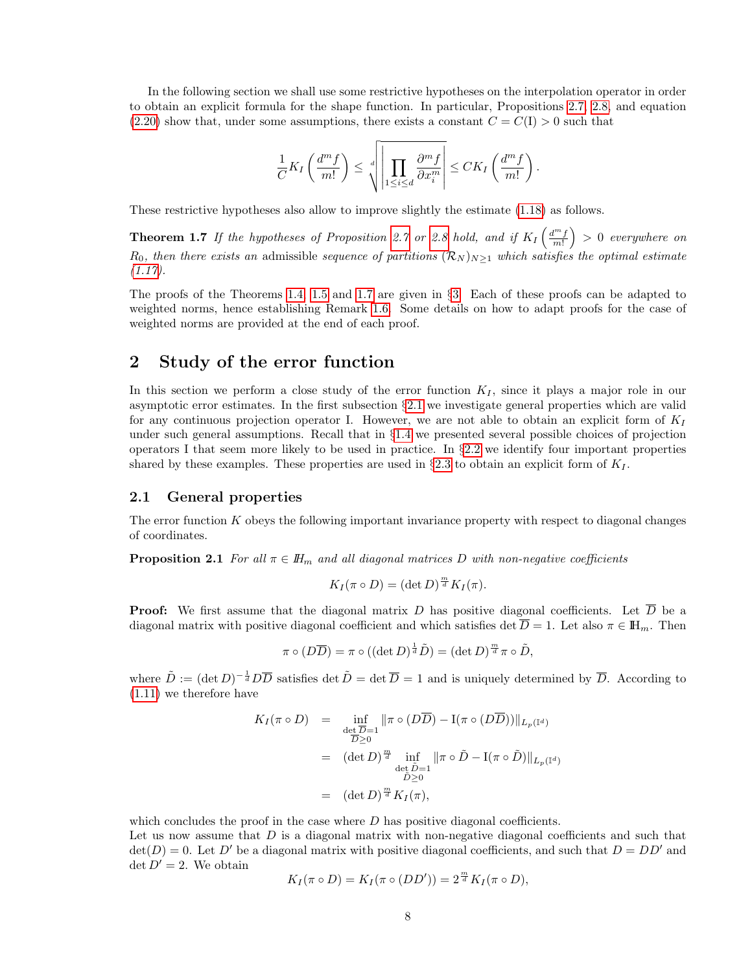In the following section we shall use some restrictive hypotheses on the interpolation operator in order to obtain an explicit formula for the shape function. In particular, Propositions [2.7,](#page-9-0) [2.8,](#page-9-1) and equation  $(2.20)$  show that, under some assumptions, there exists a constant  $C = C(I) > 0$  such that

<span id="page-7-1"></span>
$$
\frac{1}{C}K_I\left(\frac{d^m f}{m!}\right) \leq \sqrt[d]{\left|\prod_{1\leq i\leq d} \frac{\partial^m f}{\partial x_i^m}\right|} \leq CK_I\left(\frac{d^m f}{m!}\right).
$$

These restrictive hypotheses also allow to improve slightly the estimate [\(1.18\)](#page-6-4) as follows.

**Theorem 1.7** If the hypotheses of Proposition [2.7](#page-9-0) or [2.8](#page-9-1) hold, and if  $K_I\left(\frac{d^m f}{m!}\right) > 0$  everywhere on  $R_0$ , then there exists an admissible sequence of partitions  $(\mathcal{R}_N)_{N\geq 1}$  which satisfies the optimal estimate  $(1.17).$  $(1.17).$ 

The proofs of the Theorems [1.4,](#page-6-1) [1.5](#page-6-2) and [1.7](#page-7-1) are given in §[3.](#page-12-0) Each of these proofs can be adapted to weighted norms, hence establishing Remark [1.6.](#page-6-6) Some details on how to adapt proofs for the case of weighted norms are provided at the end of each proof.

# <span id="page-7-0"></span>2 Study of the error function

In this section we perform a close study of the error function  $K_I$ , since it plays a major role in our asymptotic error estimates. In the first subsection §[2.1](#page-7-2) we investigate general properties which are valid for any continuous projection operator I. However, we are not able to obtain an explicit form of  $K_I$ under such general assumptions. Recall that in §[1.4](#page-5-0) we presented several possible choices of projection operators I that seem more likely to be used in practice. In §[2.2](#page-8-0) we identify four important properties shared by these examples. These properties are used in  $\S 2.3$  $\S 2.3$  to obtain an explicit form of  $K_I$ .

#### <span id="page-7-2"></span>2.1 General properties

<span id="page-7-3"></span>The error function  $K$  obeys the following important invariance property with respect to diagonal changes of coordinates.

**Proposition 2.1** For all  $\pi \in \mathbb{H}_m$  and all diagonal matrices D with non-negative coefficients

$$
K_I(\pi \circ D) = (\det D)^{\frac{m}{d}} K_I(\pi).
$$

**Proof:** We first assume that the diagonal matrix D has positive diagonal coefficients. Let  $\overline{D}$  be a diagonal matrix with positive diagonal coefficient and which satisfies det  $\overline{D} = 1$ . Let also  $\pi \in \mathbb{H}_m$ . Then

$$
\pi \circ (D\overline{D}) = \pi \circ ((\det D)^{\frac{1}{d}}\tilde{D}) = (\det D)^{\frac{m}{d}}\pi \circ \tilde{D},
$$

where  $\tilde{D} := (\det D)^{-\frac{1}{d}} D \overline{D}$  satisfies  $\det \tilde{D} = \det \overline{D} = 1$  and is uniquely determined by  $\overline{D}$ . According to [\(1.11\)](#page-4-3) we therefore have

$$
K_{I}(\pi \circ D) = \inf_{\substack{\det \overline{D} = 1 \\ \overline{D} \ge 0}} \|\pi \circ (D\overline{D}) - \mathbf{I}(\pi \circ (D\overline{D}))\|_{L_{p}(\mathbb{I}^d)}
$$
  

$$
= (\det D)^{\frac{m}{d}} \inf_{\substack{\det \overline{D} = 1 \\ \overline{D} \ge 0}} \|\pi \circ \tilde{D} - \mathbf{I}(\pi \circ \tilde{D})\|_{L_{p}(\mathbb{I}^d)}
$$
  

$$
= (\det D)^{\frac{m}{d}} K_{I}(\pi),
$$

which concludes the proof in the case where  $D$  has positive diagonal coefficients.

Let us now assume that  $D$  is a diagonal matrix with non-negative diagonal coefficients and such that  $\det(D) = 0$ . Let D' be a diagonal matrix with positive diagonal coefficients, and such that  $D = DD'$  and  $\det D' = 2$ . We obtain

$$
K_I(\pi \circ D) = K_I(\pi \circ (DD')) = 2^{\frac{m}{d}} K_I(\pi \circ D),
$$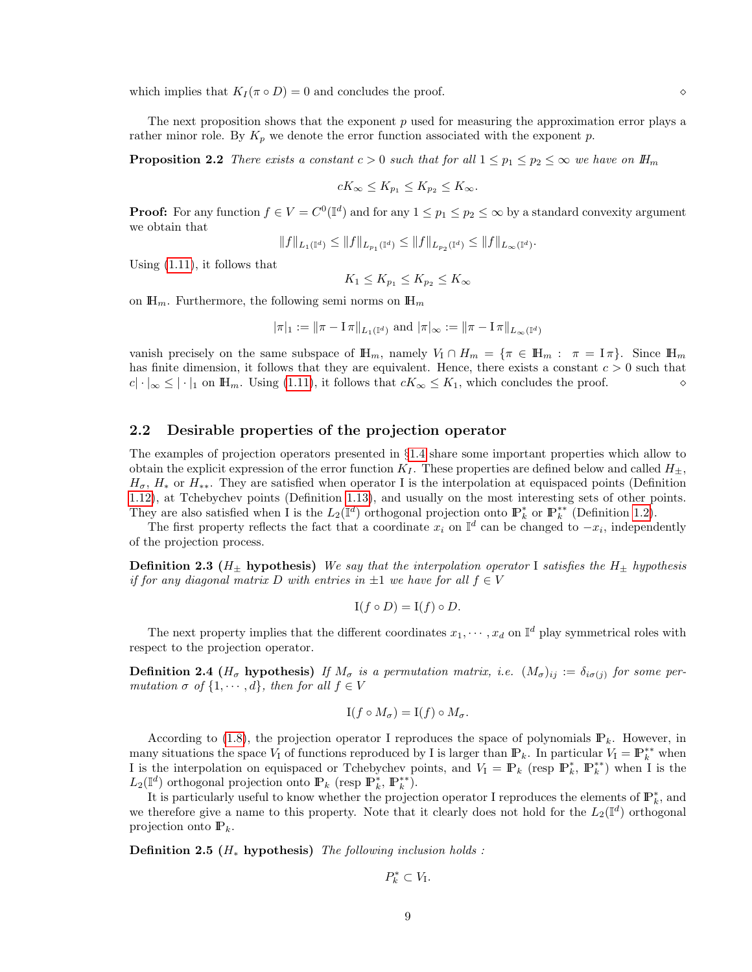which implies that  $K_I(\pi \circ D) = 0$  and concludes the proof.  $\diamond$ 

The next proposition shows that the exponent  $p$  used for measuring the approximation error plays a rather minor role. By  $K_p$  we denote the error function associated with the exponent p.

**Proposition 2.2** There exists a constant  $c > 0$  such that for all  $1 \leq p_1 \leq p_2 \leq \infty$  we have on  $\mathbb{H}_m$ 

$$
cK_{\infty} \leq K_{p_1} \leq K_{p_2} \leq K_{\infty}.
$$

**Proof:** For any function  $f \in V = C^0(\mathbb{I}^d)$  and for any  $1 \leq p_1 \leq p_2 \leq \infty$  by a standard convexity argument we obtain that

$$
||f||_{L_1(\mathbb{I}^d)} \leq ||f||_{L_{p_1}(\mathbb{I}^d)} \leq ||f||_{L_{p_2}(\mathbb{I}^d)} \leq ||f||_{L_{\infty}(\mathbb{I}^d)}.
$$

Using [\(1.11\)](#page-4-3), it follows that

$$
K_1 \le K_{p_1} \le K_{p_2} \le K_{\infty}
$$

on  $\mathbb{H}_m$ . Furthermore, the following semi norms on  $\mathbb{H}_m$ 

$$
|\pi|_1 := ||\pi - \mathbf{I} \pi||_{L_1(\mathbb{I}^d)}
$$
 and  $|\pi|_{\infty} := ||\pi - \mathbf{I} \pi||_{L_{\infty}(\mathbb{I}^d)}$ 

vanish precisely on the same subspace of  $\mathbb{H}_m$ , namely  $V_1 \cap H_m = \{ \pi \in \mathbb{H}_m : \pi = \pi \}$ . Since  $\mathbb{H}_m$ has finite dimension, it follows that they are equivalent. Hence, there exists a constant  $c > 0$  such that  $c|\cdot|_{\infty} \leq |\cdot|_1$  on  $\mathbb{H}_m$ . Using [\(1.11\)](#page-4-3), it follows that  $cK_{\infty} \leq K_1$ , which concludes the proof.

#### <span id="page-8-0"></span>2.2 Desirable properties of the projection operator

The examples of projection operators presented in §[1.4](#page-5-0) share some important properties which allow to obtain the explicit expression of the error function  $K_I$ . These properties are defined below and called  $H_+$ ,  $H_{\sigma}$ ,  $H_{*}$  or  $H_{**}$ . They are satisfied when operator I is the interpolation at equispaced points (Definition [1.12\)](#page-5-2), at Tchebychev points (Definition [1.13\)](#page-5-3), and usually on the most interesting sets of other points. They are also satisfied when I is the  $L_2(\mathbb{I}^d)$  orthogonal projection onto  $\mathbb{P}_k^*$  or  $\mathbb{P}_k^{**}$  (Definition [1.2\)](#page-5-1).

The first property reflects the fact that a coordinate  $x_i$  on  $\mathbb{I}^d$  can be changed to  $-x_i$ , independently of the projection process.

**Definition 2.3** ( $H_{\pm}$  hypothesis) We say that the interpolation operator I satisfies the  $H_{\pm}$  hypothesis if for any diagonal matrix D with entries in  $\pm 1$  we have for all  $f \in V$ 

$$
I(f \circ D) = I(f) \circ D.
$$

The next property implies that the different coordinates  $x_1, \dots, x_d$  on  $\mathbb{I}^d$  play symmetrical roles with respect to the projection operator.

**Definition 2.4** ( $H_{\sigma}$  hypothesis) If  $M_{\sigma}$  is a permutation matrix, i.e.  $(M_{\sigma})_{ij} := \delta_{i\sigma(j)}$  for some permutation  $\sigma$  of  $\{1, \dots, d\}$ , then for all  $f \in V$ 

$$
I(f \circ M_{\sigma}) = I(f) \circ M_{\sigma}.
$$

According to [\(1.8\)](#page-4-0), the projection operator I reproduces the space of polynomials  $\mathbb{P}_k$ . However, in many situations the space  $V_I$  of functions reproduced by I is larger than  $\mathbb{P}_k$ . In particular  $V_I = \mathbb{P}_k^{**}$  when I is the interpolation on equispaced or Tchebychev points, and  $V_1 = \mathbb{P}_k$  (resp  $\mathbb{P}_k^*$ ,  $\mathbb{P}_k^{**}$ ) when I is the  $L_2(\mathbb{I}^d)$  orthogonal projection onto  $\mathbb{P}_k$  (resp  $\mathbb{P}_k^*$ ,  $\mathbb{P}_k^{**}$ ).

It is particularly useful to know whether the projection operator I reproduces the elements of  $\mathbb{P}_k^*$ , and we therefore give a name to this property. Note that it clearly does not hold for the  $L_2(\mathbb{I}^d)$  orthogonal projection onto  $\mathbb{P}_k$ .

Definition 2.5 ( $H_*$  hypothesis) The following inclusion holds :

$$
P_k^* \subset V_{\mathcal{I}}.
$$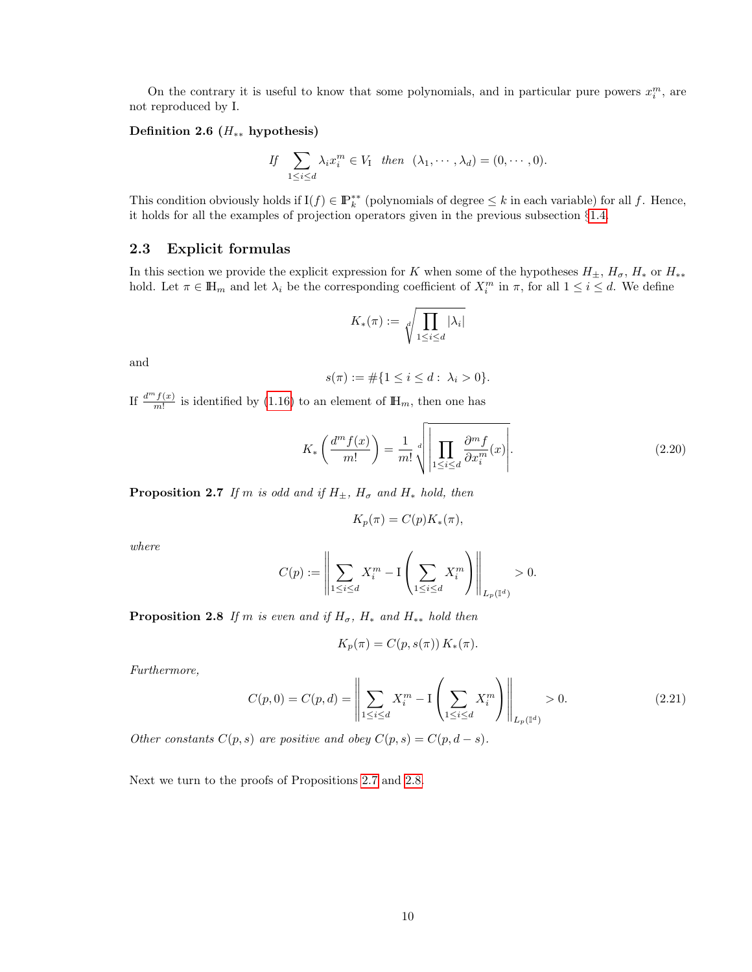On the contrary it is useful to know that some polynomials, and in particular pure powers  $x_i^m$ , are not reproduced by I.

#### Definition 2.6 ( $H_{**}$  hypothesis)

If 
$$
\sum_{1 \leq i \leq d} \lambda_i x_i^m \in V_1 \text{ then } (\lambda_1, \cdots, \lambda_d) = (0, \cdots, 0).
$$

This condition obviously holds if  $I(f) \in \mathbb{P}_k^{**}$  (polynomials of degree  $\leq k$  in each variable) for all f. Hence, it holds for all the examples of projection operators given in the previous subsection §[1.4.](#page-5-0)

#### <span id="page-9-3"></span>2.3 Explicit formulas

In this section we provide the explicit expression for K when some of the hypotheses  $H_{\pm}$ ,  $H_{\sigma}$ ,  $H_*$  or  $H_{**}$ hold. Let  $\pi \in \mathbb{H}_m$  and let  $\lambda_i$  be the corresponding coefficient of  $X_i^m$  in  $\pi$ , for all  $1 \leq i \leq d$ . We define

$$
K_*(\pi) := \sqrt[d]{\prod_{1 \le i \le d} |\lambda_i|}
$$

and

$$
s(\pi) := \#\{1 \le i \le d : \lambda_i > 0\}.
$$

If  $\frac{d^m f(x)}{m!}$  is identified by [\(1.16\)](#page-6-7) to an element of  $\mathbb{H}_m$ , then one has

<span id="page-9-2"></span>
$$
K_*\left(\frac{d^m f(x)}{m!}\right) = \frac{1}{m!} \sqrt{\left| \prod_{1 \le i \le d} \frac{\partial^m f}{\partial x_i^m}(x) \right|}. \tag{2.20}
$$

<span id="page-9-0"></span>**Proposition 2.7** If m is odd and if  $H_{\pm}$ ,  $H_{\sigma}$  and  $H_{*}$  hold, then

$$
K_p(\pi) = C(p)K_*(\pi)
$$

where

$$
C(p) := \left\| \sum_{1 \le i \le d} X_i^m - I \left( \sum_{1 \le i \le d} X_i^m \right) \right\|_{L_p(\mathbb{I}^d)} > 0.
$$

<span id="page-9-1"></span>**Proposition 2.8** If m is even and if  $H_{\sigma}$ ,  $H_*$  and  $H_{**}$  hold then

$$
K_p(\pi) = C(p, s(\pi)) K_*(\pi).
$$

Furthermore,

$$
C(p,0) = C(p,d) = \left\| \sum_{1 \le i \le d} X_i^m - I \left( \sum_{1 \le i \le d} X_i^m \right) \right\|_{L_p(\mathbb{I}^d)} > 0.
$$
 (2.21)

Other constants  $C(p, s)$  are positive and obey  $C(p, s) = C(p, d - s)$ .

Next we turn to the proofs of Propositions [2.7](#page-9-0) and [2.8.](#page-9-1)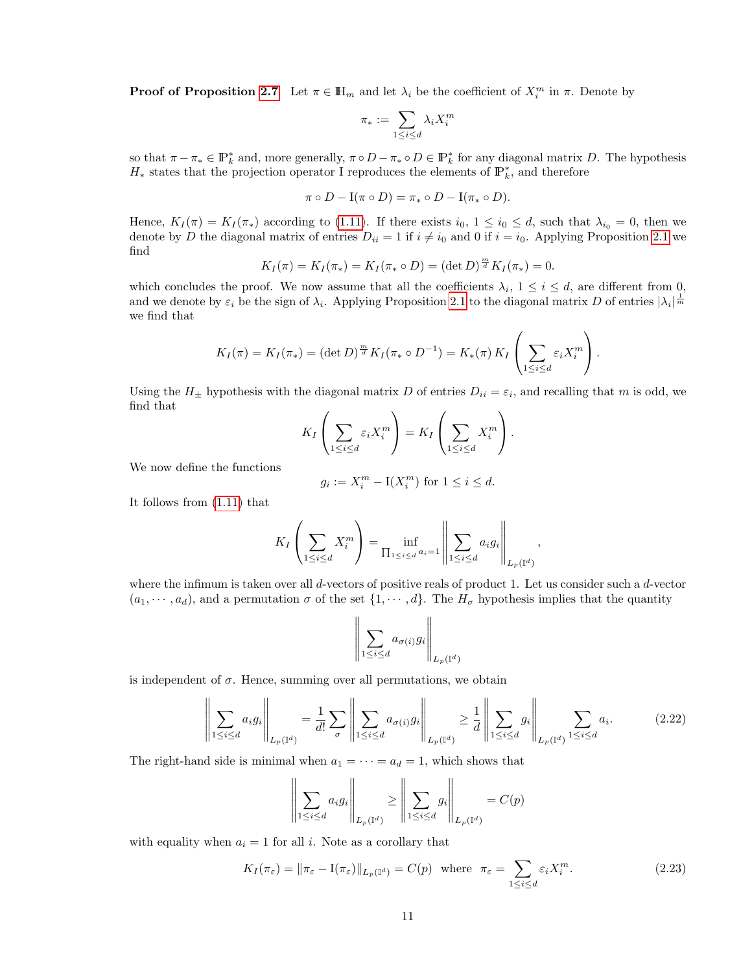**Proof of Proposition [2.7](#page-9-0)** Let  $\pi \in \mathbb{H}_m$  and let  $\lambda_i$  be the coefficient of  $X_i^m$  in  $\pi$ . Denote by

$$
\pi_* := \sum_{1 \leq i \leq d} \lambda_i X_i^m
$$

so that  $\pi - \pi_* \in \mathbb{P}_k^*$  and, more generally,  $\pi \circ D - \pi_* \circ D \in \mathbb{P}_k^*$  for any diagonal matrix D. The hypothesis  $H_*$  states that the projection operator I reproduces the elements of  $\mathbb{P}_k^*$ , and therefore

$$
\pi \circ D - \mathbf{I}(\pi \circ D) = \pi_* \circ D - \mathbf{I}(\pi_* \circ D).
$$

Hence,  $K_I(\pi) = K_I(\pi_*)$  according to [\(1.11\)](#page-4-3). If there exists  $i_0, 1 \le i_0 \le d$ , such that  $\lambda_{i_0} = 0$ , then we denote by D the diagonal matrix of entries  $D_{ii} = 1$  if  $i \neq i_0$  and 0 if  $i = i_0$ . Applying Proposition [2.1](#page-7-3) we find

$$
K_I(\pi) = K_I(\pi_*) = K_I(\pi_* \circ D) = (\det D)^{\frac{m}{d}} K_I(\pi_*) = 0.
$$

which concludes the proof. We now assume that all the coefficients  $\lambda_i$ ,  $1 \leq i \leq d$ , are different from 0, and we denote by  $\varepsilon_i$  be the sign of  $\lambda_i$ . Applying Proposition [2.1](#page-7-3) to the diagonal matrix D of entries  $|\lambda_i|^{\frac{1}{m}}$ we find that

$$
K_I(\pi) = K_I(\pi_*) = (\det D)^{\frac{m}{d}} K_I(\pi_* \circ D^{-1}) = K_*(\pi) K_I\left(\sum_{1 \leq i \leq d} \varepsilon_i X_i^m\right).
$$

Using the  $H_{\pm}$  hypothesis with the diagonal matrix D of entries  $D_{ii} = \varepsilon_i$ , and recalling that m is odd, we find that  $\mathcal{L}_{\rm{max}}$  $\mathcal{L}$ 

$$
K_I\left(\sum_{1\leq i\leq d}\varepsilon_iX_i^m\right)=K_I\left(\sum_{1\leq i\leq d}X_i^m\right).
$$

We now define the functions

$$
g_i := X_i^m - \mathbf{I}(X_i^m) \text{ for } 1 \le i \le d.
$$

It follows from [\(1.11\)](#page-4-3) that

$$
K_I\left(\sum_{1\leq i\leq d}X_i^m\right)=\inf_{\prod_{1\leq i\leq d}a_i=1}\left\|\sum_{1\leq i\leq d}a_ig_i\right\|_{L_p(\mathbb{I}^d)},
$$

where the infimum is taken over all d-vectors of positive reals of product 1. Let us consider such a d-vector  $(a_1, \dots, a_d)$ , and a permutation  $\sigma$  of the set  $\{1, \dots, d\}$ . The  $H_{\sigma}$  hypothesis implies that the quantity

$$
\left\| \sum_{1 \leq i \leq d} a_{\sigma(i)} g_i \right\|_{L_p(\mathbb{I}^d)}
$$

is independent of  $\sigma$ . Hence, summing over all permutations, we obtain

<span id="page-10-0"></span>
$$
\left\| \sum_{1 \le i \le d} a_i g_i \right\|_{L_p(\mathbb{I}^d)} = \frac{1}{d!} \sum_{\sigma} \left\| \sum_{1 \le i \le d} a_{\sigma(i)} g_i \right\|_{L_p(\mathbb{I}^d)} \ge \frac{1}{d} \left\| \sum_{1 \le i \le d} g_i \right\|_{L_p(\mathbb{I}^d)} \sum_{1 \le i \le d} a_i. \tag{2.22}
$$

The right-hand side is minimal when  $a_1 = \cdots = a_d = 1$ , which shows that

$$
\left\| \sum_{1 \le i \le d} a_i g_i \right\|_{L_p(\mathbb{I}^d)} \ge \left\| \sum_{1 \le i \le d} g_i \right\|_{L_p(\mathbb{I}^d)} = C(p)
$$

with equality when  $a_i = 1$  for all i. Note as a corollary that

$$
K_I(\pi_{\varepsilon}) = \|\pi_{\varepsilon} - \mathcal{I}(\pi_{\varepsilon})\|_{L_p(\mathbb{I}^d)} = C(p) \text{ where } \pi_{\varepsilon} = \sum_{1 \le i \le d} \varepsilon_i X_i^m. \tag{2.23}
$$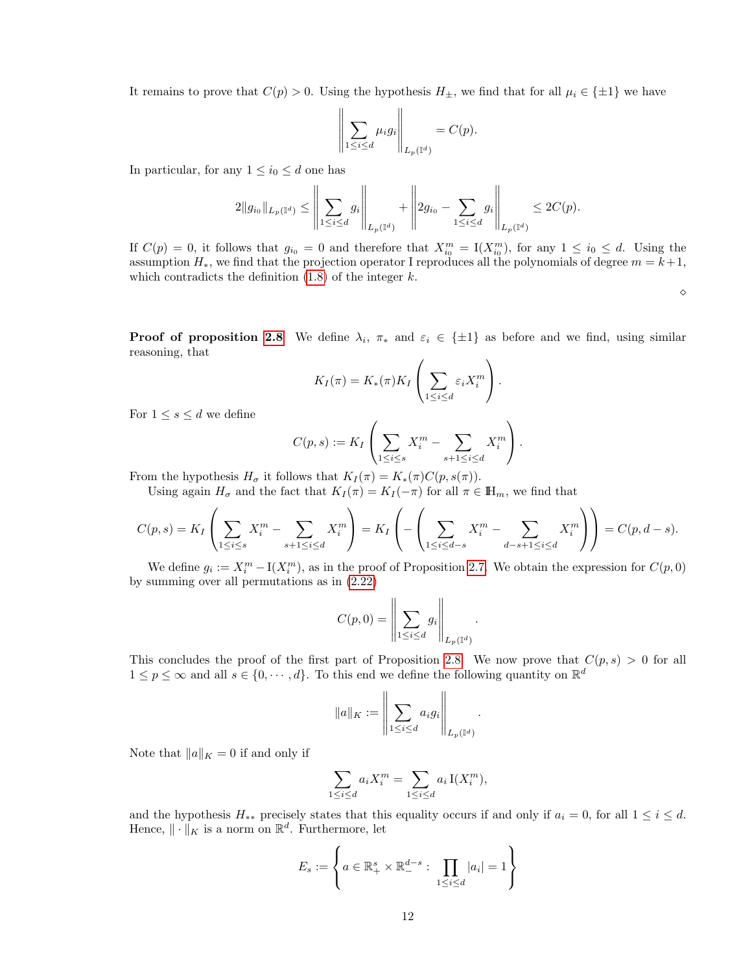It remains to prove that  $C(p) > 0$ . Using the hypothesis  $H_{\pm}$ , we find that for all  $\mu_i \in {\pm 1}$  we have

$$
\left\| \sum_{1 \leq i \leq d} \mu_i g_i \right\|_{L_p(\mathbb{I}^d)} = C(p).
$$

In particular, for any  $1 \leq i_0 \leq d$  one has

$$
2\|g_{i_0}\|_{L_p(\mathbb{I}^d)} \le \left\|\sum_{1\le i\le d} g_i\right\|_{L_p(\mathbb{I}^d)} + \left\|2g_{i_0}-\sum_{1\le i\le d} g_i\right\|_{L_p(\mathbb{I}^d)} \le 2C(p).
$$

If  $C(p) = 0$ , it follows that  $g_{i_0} = 0$  and therefore that  $X_{i_0}^m = I(X_{i_0}^m)$ , for any  $1 \le i_0 \le d$ . Using the assumption  $H_*$ , we find that the projection operator I reproduces all the polynomials of degree  $m = k+1$ , which contradicts the definition  $(1.8)$  of the integer k.

 $\Diamond$ 

**Proof of proposition [2.8](#page-9-1)** We define  $\lambda_i$ ,  $\pi_*$  and  $\varepsilon_i \in {\pm 1}$  as before and we find, using similar reasoning, that

$$
K_I(\pi) = K_*(\pi) K_I \left( \sum_{1 \leq i \leq d} \varepsilon_i X_i^m \right).
$$

For  $1 \leq s \leq d$  we define

$$
C(p,s) := K_I \left( \sum_{1 \le i \le s} X_i^m - \sum_{s+1 \le i \le d} X_i^m \right).
$$

From the hypothesis  $H_{\sigma}$  it follows that  $K_I(\pi) = K_*(\pi)C(p, s(\pi)).$ 

Using again  $H_{\sigma}$  and the fact that  $K_I(\pi) = K_I(-\pi)$  for all  $\pi \in \mathbb{H}_m$ , we find that

$$
C(p,s) = K_I\left(\sum_{1\leq i\leq s} X_i^m - \sum_{s+1\leq i\leq d} X_i^m\right) = K_I\left(-\left(\sum_{1\leq i\leq d-s} X_i^m - \sum_{d-s+1\leq i\leq d} X_i^m\right)\right) = C(p,d-s).
$$

We define  $g_i := X_i^m - I(X_i^m)$ , as in the proof of Proposition [2.7.](#page-9-0) We obtain the expression for  $C(p, 0)$ by summing over all permutations as in [\(2.22\)](#page-10-0)

$$
C(p,0) = \left\| \sum_{1 \leq i \leq d} g_i \right\|_{L_p(\mathbb{I}^d)}
$$

.

.

This concludes the proof of the first part of Proposition [2.8.](#page-9-1) We now prove that  $C(p, s) > 0$  for all  $1 \leq p \leq \infty$  and all  $s \in \{0, \dots, d\}$ . To this end we define the following quantity on  $\mathbb{R}^d$ 

$$
\|a\|_K:=\left\|\sum_{1\leq i\leq d}a_ig_i\right\|_{L_p(\mathbb{I}^d)}
$$

Note that  $||a||_K = 0$  if and only if

$$
\sum_{1 \le i \le d} a_i X_i^m = \sum_{1 \le i \le d} a_i \mathbf{I}(X_i^m),
$$

and the hypothesis  $H_{**}$  precisely states that this equality occurs if and only if  $a_i = 0$ , for all  $1 \leq i \leq d$ . Hence,  $\|\cdot\|_K$  is a norm on  $\mathbb{R}^d$ . Furthermore, let

$$
E_s := \left\{ a \in \mathbb{R}_+^s \times \mathbb{R}_-^{d-s} : \prod_{1 \le i \le d} |a_i| = 1 \right\}
$$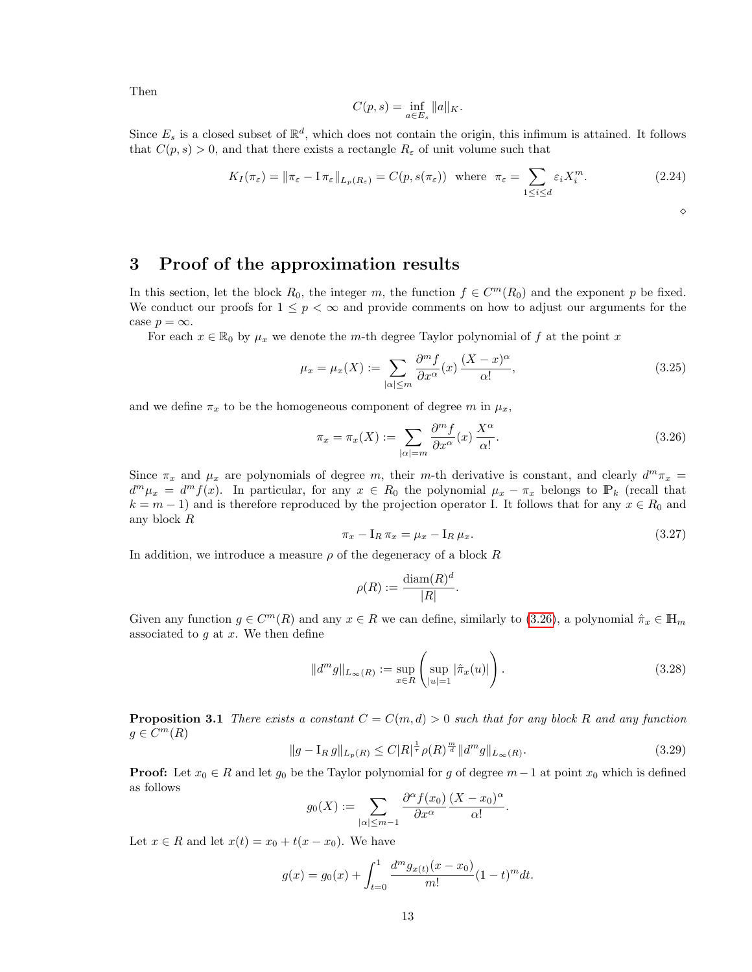Then

$$
C(p,s) = \inf_{a \in E_s} ||a||_K.
$$

Since  $E_s$  is a closed subset of  $\mathbb{R}^d$ , which does not contain the origin, this infimum is attained. It follows that  $C(p, s) > 0$ , and that there exists a rectangle  $R_{\varepsilon}$  of unit volume such that

$$
K_I(\pi_{\varepsilon}) = \|\pi_{\varepsilon} - \mathbf{I}\,\pi_{\varepsilon}\|_{L_p(R_{\varepsilon})} = C(p, s(\pi_{\varepsilon})) \text{ where } \pi_{\varepsilon} = \sum_{1 \le i \le d} \varepsilon_i X_i^m. \tag{2.24}
$$

 $\Diamond$ 

# <span id="page-12-0"></span>3 Proof of the approximation results

In this section, let the block  $R_0$ , the integer m, the function  $f \in C^m(R_0)$  and the exponent p be fixed. We conduct our proofs for  $1 \leq p < \infty$  and provide comments on how to adjust our arguments for the case  $p = \infty$ .

For each  $x \in \mathbb{R}_0$  by  $\mu_x$  we denote the m-th degree Taylor polynomial of f at the point x

<span id="page-12-3"></span>
$$
\mu_x = \mu_x(X) := \sum_{|\alpha| \le m} \frac{\partial^m f}{\partial x^{\alpha}}(x) \frac{(X - x)^{\alpha}}{\alpha!},\tag{3.25}
$$

and we define  $\pi_x$  to be the homogeneous component of degree m in  $\mu_x$ ,

<span id="page-12-1"></span>
$$
\pi_x = \pi_x(X) := \sum_{|\alpha| = m} \frac{\partial^m f}{\partial x^{\alpha}}(x) \frac{X^{\alpha}}{\alpha!}.
$$
\n(3.26)

Since  $\pi_x$  and  $\mu_x$  are polynomials of degree m, their m-th derivative is constant, and clearly  $d^m \pi_x =$  $d^m \mu_x = d^m f(x)$ . In particular, for any  $x \in R_0$  the polynomial  $\mu_x - \pi_x$  belongs to  $\mathbb{P}_k$  (recall that  $k = m - 1$ ) and is therefore reproduced by the projection operator I. It follows that for any  $x \in R_0$  and any block R

<span id="page-12-4"></span>
$$
\pi_x - I_R \pi_x = \mu_x - I_R \mu_x. \tag{3.27}
$$

In addition, we introduce a measure  $\rho$  of the degeneracy of a block R

$$
\rho(R) := \frac{\text{diam}(R)^d}{|R|}.
$$

Given any function  $g \in C^m(R)$  and any  $x \in R$  we can define, similarly to [\(3.26\)](#page-12-1), a polynomial  $\hat{\pi}_x \in \mathbb{H}_m$ associated to  $g$  at  $x$ . We then define

$$
||d^{m}g||_{L_{\infty}(R)} := \sup_{x \in R} \left( \sup_{|u|=1} |\hat{\pi}_{x}(u)| \right).
$$
 (3.28)

**Proposition 3.1** There exists a constant  $C = C(m, d) > 0$  such that for any block R and any function  $g \in C^m(R)$ 

<span id="page-12-2"></span>
$$
||g - I_R g||_{L_p(R)} \le C|R|^{\frac{1}{\tau}} \rho(R)^{\frac{m}{d}} ||d^m g||_{L_\infty(R)}.
$$
\n(3.29)

.

**Proof:** Let  $x_0 \in R$  and let  $g_0$  be the Taylor polynomial for g of degree  $m-1$  at point  $x_0$  which is defined as follows

$$
g_0(X) := \sum_{|\alpha| \le m-1} \frac{\partial^{\alpha} f(x_0)}{\partial x^{\alpha}} \frac{(X - x_0)^{\alpha}}{\alpha!}
$$

Let  $x \in R$  and let  $x(t) = x_0 + t(x - x_0)$ . We have

$$
g(x) = g_0(x) + \int_{t=0}^1 \frac{d^m g_{x(t)}(x - x_0)}{m!} (1 - t)^m dt.
$$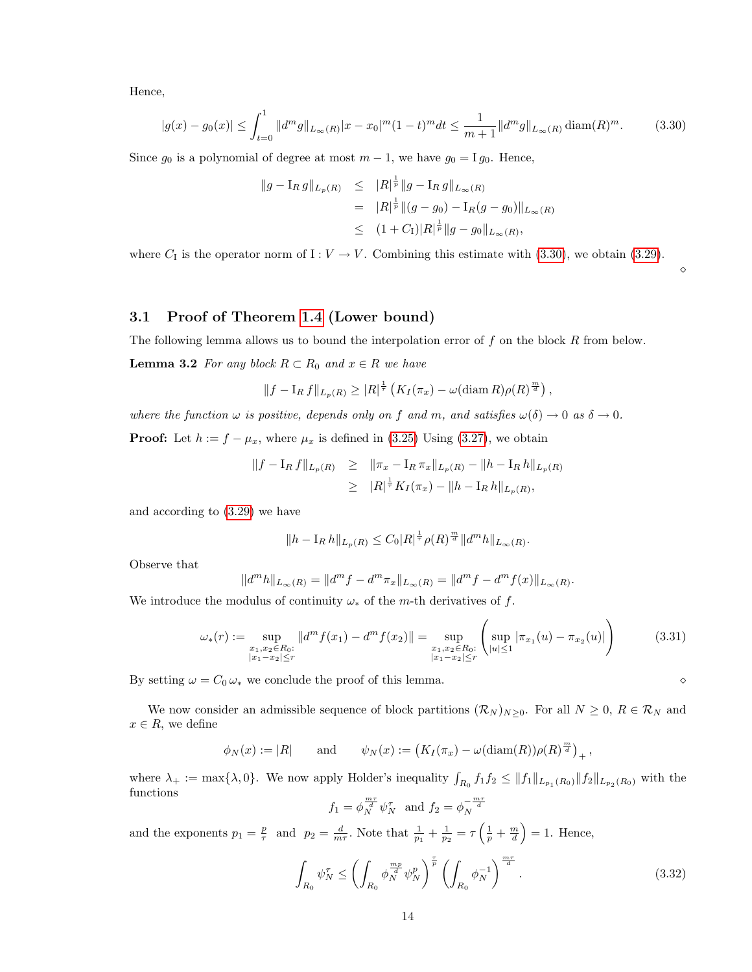Hence,

<span id="page-13-0"></span>
$$
|g(x) - g_0(x)| \le \int_{t=0}^1 \|d^m g\|_{L_\infty(R)} |x - x_0|^m (1 - t)^m dt \le \frac{1}{m+1} \|d^m g\|_{L_\infty(R)} \operatorname{diam}(R)^m. \tag{3.30}
$$

Since  $g_0$  is a polynomial of degree at most  $m-1$ , we have  $g_0 = I g_0$ . Hence,

$$
\|g - I_R g\|_{L_p(R)} \leq \|R|^{\frac{1}{p}} \|g - I_R g\|_{L_\infty(R)}
$$
  
=  $|R|^{\frac{1}{p}} \| (g - g_0) - I_R (g - g_0) \|_{L_\infty(R)}$   

$$
\leq (1 + C_1) |R|^{\frac{1}{p}} \|g - g_0\|_{L_\infty(R)},
$$

where  $C_I$  is the operator norm of  $I: V \to V$ . Combining this estimate with [\(3.30\)](#page-13-0), we obtain [\(3.29\)](#page-12-2).

### 3.1 Proof of Theorem [1.4](#page-6-1) (Lower bound)

The following lemma allows us to bound the interpolation error of  $f$  on the block  $R$  from below.

**Lemma 3.2** For any block  $R \subset R_0$  and  $x \in R$  we have

$$
||f - I_R f||_{L_p(R)} \geq |R|^{\frac{1}{\tau}} \left( K_I(\pi_x) - \omega(\text{diam } R)\rho(R)^{\frac{m}{d}} \right),
$$

where the function  $\omega$  is positive, depends only on f and m, and satisfies  $\omega(\delta) \to 0$  as  $\delta \to 0$ .

**Proof:** Let  $h := f - \mu_x$ , where  $\mu_x$  is defined in [\(3.25\)](#page-12-3) Using [\(3.27\)](#page-12-4), we obtain

$$
||f - I_R f||_{L_p(R)} \ge ||\pi_x - I_R \pi_x||_{L_p(R)} - ||h - I_R h||_{L_p(R)}
$$
  
\n
$$
\ge ||R|^{\frac{1}{\tau}} K_I(\pi_x) - ||h - I_R h||_{L_p(R)},
$$

and according to [\(3.29\)](#page-12-2) we have

$$
||h - I_R h||_{L_p(R)} \leq C_0 |R|^{\frac{1}{\tau}} \rho(R)^{\frac{m}{d}} ||d^m h||_{L_\infty(R)}.
$$

Observe that

$$
||d^{m}h||_{L_{\infty}(R)} = ||d^{m}f - d^{m}\pi_{x}||_{L_{\infty}(R)} = ||d^{m}f - d^{m}f(x)||_{L_{\infty}(R)}.
$$

We introduce the modulus of continuity  $\omega_*$  of the m-th derivatives of f.

<span id="page-13-3"></span>
$$
\omega_*(r) := \sup_{\substack{x_1, x_2 \in R_0:\\|x_1 - x_2| \le r}} \|d^m f(x_1) - d^m f(x_2)\| = \sup_{\substack{x_1, x_2 \in R_0:\\|x_1 - x_2| \le r}} \left( \sup_{|u| \le 1} |\pi_{x_1}(u) - \pi_{x_2}(u)| \right)
$$
(3.31)

By setting  $\omega = C_0 \omega_*$  we conclude the proof of this lemma.

We now consider an admissible sequence of block partitions  $(\mathcal{R}_N)_{N\geq 0}$ . For all  $N\geq 0$ ,  $R\in\mathcal{R}_N$  and  $x \in R$ , we define

$$
\phi_N(x) := |R|
$$
 and  $\psi_N(x) := (K_I(\pi_x) - \omega(\text{diam}(R))\rho(R)^{\frac{m}{d}})_+,$ 

where  $\lambda_+ := \max\{\lambda, 0\}$ . We now apply Holder's inequality  $\int_{R_0} f_1 f_2 \leq ||f_1||_{L_{p_1}(R_0)} ||f_2||_{L_{p_2}(R_0)}$  with the functions

$$
f_1 = \phi_N^{\frac{m\tau}{d}} \psi_N^{\tau} \text{ and } f_2 = \phi_N^{-\frac{m\tau}{d}}
$$

and the exponents  $p_1 = \frac{p}{\tau}$  and  $p_2 = \frac{d}{m\tau}$ . Note that  $\frac{1}{p_1} + \frac{1}{p_2} = \tau \left(\frac{1}{p} + \frac{m}{d}\right) = 1$ . Hence,

<span id="page-13-2"></span>
$$
\int_{R_0} \psi_N^{\tau} \le \left( \int_{R_0} \phi_N^{\frac{mp}{d}} \psi_N^p \right)^{\frac{r}{p}} \left( \int_{R_0} \phi_N^{-1} \right)^{\frac{m\tau}{d}}.
$$
\n(3.32)

<span id="page-13-1"></span>♦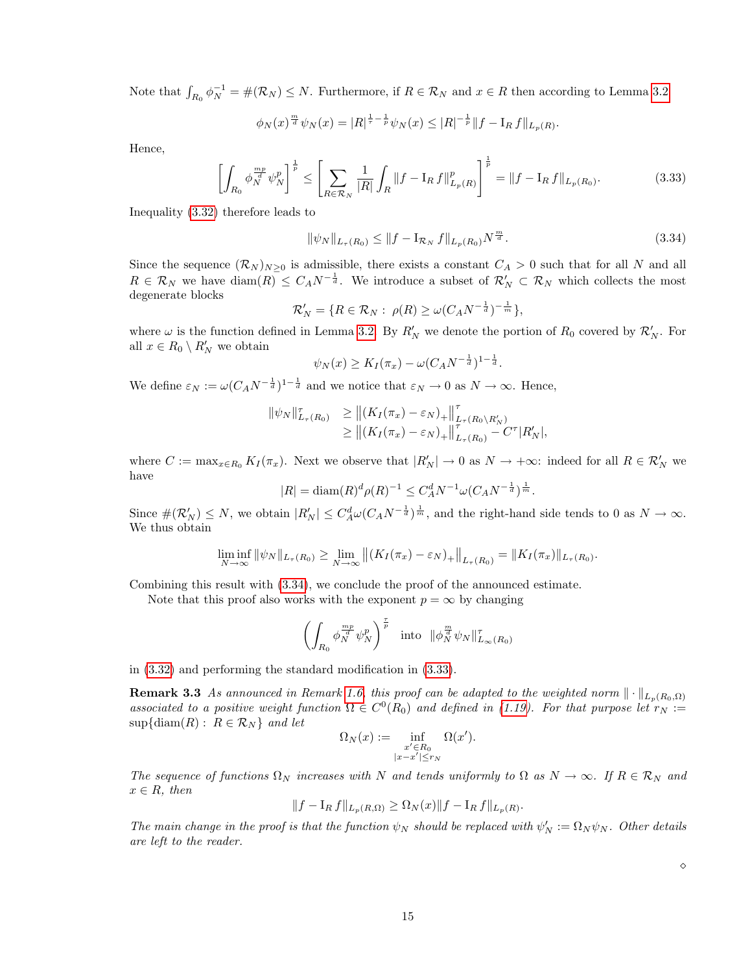Note that  $\int_{R_0} \phi_N^{-1} = \#(\mathcal{R}_N) \leq N$ . Furthermore, if  $R \in \mathcal{R}_N$  and  $x \in R$  then according to Lemma [3.2](#page-13-1)

$$
\phi_N(x)^{\frac{m}{d}}\psi_N(x) = |R|^{\frac{1}{\tau}-\frac{1}{p}}\psi_N(x) \leq |R|^{-\frac{1}{p}}\|f - I_Rf\|_{L_p(R)}.
$$

Hence,

<span id="page-14-1"></span>
$$
\left[\int_{R_0} \phi_N^{\frac{mp}{d}} \psi_N^p \right]^{\frac{1}{p}} \le \left[ \sum_{R \in \mathcal{R}_N} \frac{1}{|R|} \int_R \|f - \mathbf{I}_R f\|_{L_p(R)}^p \right]^{\frac{1}{p}} = \|f - \mathbf{I}_R f\|_{L_p(R_0)}.
$$
\n(3.33)

Inequality [\(3.32\)](#page-13-2) therefore leads to

<span id="page-14-0"></span>
$$
\|\psi_N\|_{L_{\tau}(R_0)} \le \|f - \mathbf{I}_{R_N} f\|_{L_p(R_0)} N^{\frac{m}{d}}.
$$
\n(3.34)

Since the sequence  $(\mathcal{R}_N)_{N\geq 0}$  is admissible, there exists a constant  $C_A > 0$  such that for all N and all  $R \in \mathcal{R}_N$  we have  $\text{diam}(R) \leq C_A N^{-\frac{1}{d}}$ . We introduce a subset of  $\mathcal{R}'_N \subset \mathcal{R}_N$  which collects the most degenerate blocks

$$
\mathcal{R}'_N = \{ R \in \mathcal{R}_N : \ \rho(R) \ge \omega (C_A N^{-\frac{1}{d}})^{-\frac{1}{m}} \},
$$

where  $\omega$  is the function defined in Lemma [3.2.](#page-13-1) By  $R'_N$  we denote the portion of  $R_0$  covered by  $\mathcal{R}'_N$ . For all  $x \in R_0 \setminus R'_N$  we obtain

$$
\psi_N(x) \ge K_I(\pi_x) - \omega (C_A N^{-\frac{1}{d}})^{1-\frac{1}{d}}.
$$

We define  $\varepsilon_N := \omega(C_A N^{-\frac{1}{d}})^{1-\frac{1}{d}}$  and we notice that  $\varepsilon_N \to 0$  as  $N \to \infty$ . Hence,

$$
\begin{aligned} \|\psi_N\|_{L_\tau(R_0)}^{\tau} &\geq \left\|(K_I(\pi_x) - \varepsilon_N)_+\right\|_{L_\tau(R_0 \setminus R'_N)}^{\tau} \\ &\geq \left\|(K_I(\pi_x) - \varepsilon_N)_+\right\|_{L_\tau(R_0)}^{\tau} - C^{\tau} |R'_N|, \end{aligned}
$$

where  $C := \max_{x \in R_0} K_I(\pi_x)$ . Next we observe that  $|R'_N| \to 0$  as  $N \to +\infty$ : indeed for all  $R \in \mathcal{R}'_N$  we have

$$
|R| = \text{diam}(R)^d \rho(R)^{-1} \leq C_A^d N^{-1} \omega (C_A N^{-\frac{1}{d}})^{\frac{1}{m}}.
$$

Since  $\#(\mathcal{R}'_N) \leq N$ , we obtain  $|R'_N| \leq C_A^d \omega (C_A N^{-\frac{1}{d}})^{\frac{1}{m}}$ , and the right-hand side tends to 0 as  $N \to \infty$ . We thus obtain

$$
\liminf_{N \to \infty} \|\psi_N\|_{L_{\tau}(R_0)} \ge \lim_{N \to \infty} \|(K_I(\pi_x) - \varepsilon_N)_+\|_{L_{\tau}(R_0)} = \|K_I(\pi_x)\|_{L_{\tau}(R_0)}.
$$

Combining this result with [\(3.34\)](#page-14-0), we conclude the proof of the announced estimate.

Note that this proof also works with the exponent  $p = \infty$  by changing

$$
\left(\int_{R_0} \phi_N^{\frac{mp}{d}} \psi_N^p\right)^{\frac{\tau}{p}} \quad \text{into} \quad \|\phi_N^{\frac{m}{d}} \psi_N\|_{L_\infty(R_0)}^{\tau}
$$

in [\(3.32\)](#page-13-2) and performing the standard modification in [\(3.33\)](#page-14-1).

**Remark 3.3** As announced in Remark [1.6,](#page-6-6) this proof can be adapted to the weighted norm  $\|\cdot\|_{L_p(R_0,\Omega)}$ associated to a positive weight function  $\Omega \in C^0(R_0)$  and defined in [\(1.19\)](#page-6-3). For that purpose let  $r_N :=$  $\sup{\{\operatorname{diam}(R): R \in \mathcal{R}_N\}}$  and let

$$
\Omega_N(x) := \inf_{\substack{x' \in R_0 \\ |x - x'| \le r_N}} \Omega(x').
$$

The sequence of functions  $\Omega_N$  increases with N and tends uniformly to  $\Omega$  as  $N \to \infty$ . If  $R \in \mathcal{R}_N$  and  $x \in R$ , then

$$
||f - I_R f||_{L_p(R, \Omega)} \ge \Omega_N(x) ||f - I_R f||_{L_p(R)}
$$

.

The main change in the proof is that the function  $\psi_N$  should be replaced with  $\psi'_N := \Omega_N \psi_N$ . Other details are left to the reader.

 $\Diamond$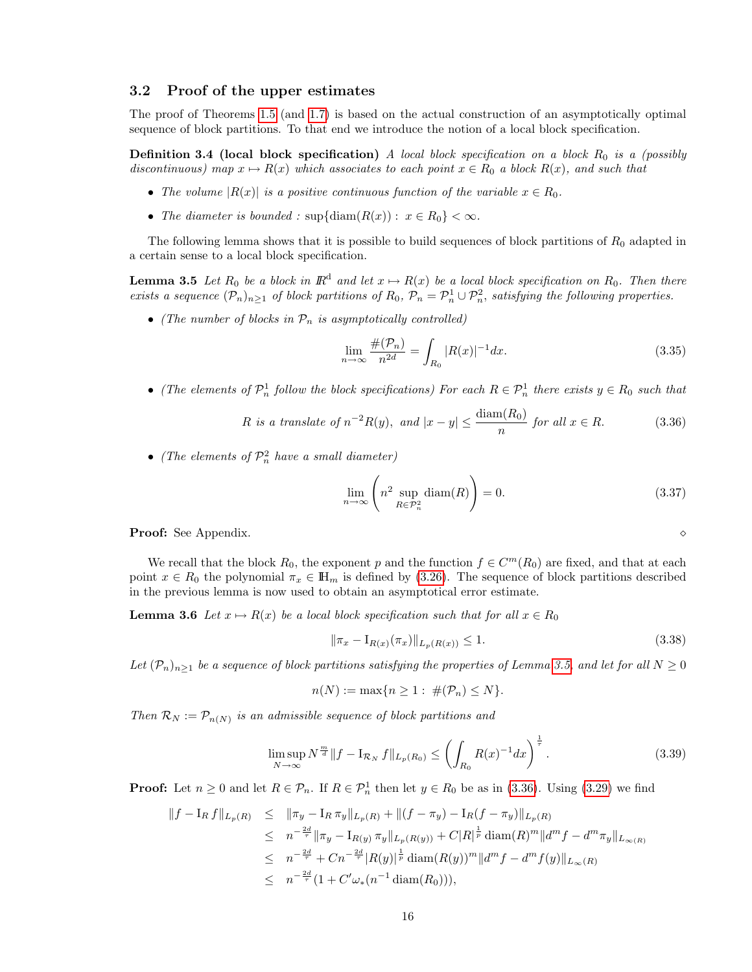#### 3.2 Proof of the upper estimates

The proof of Theorems [1.5](#page-6-2) (and [1.7\)](#page-7-1) is based on the actual construction of an asymptotically optimal sequence of block partitions. To that end we introduce the notion of a local block specification.

<span id="page-15-2"></span>**Definition 3.4 (local block specification)** A local block specification on a block  $R_0$  is a (possibly discontinuous) map  $x \mapsto R(x)$  which associates to each point  $x \in R_0$  a block  $R(x)$ , and such that

- The volume  $|R(x)|$  is a positive continuous function of the variable  $x \in R_0$ .
- The diameter is bounded :  $\sup{\{\text{diam}(R(x)) : x \in R_0\}} < \infty$ .

The following lemma shows that it is possible to build sequences of block partitions of  $R_0$  adapted in a certain sense to a local block specification.

<span id="page-15-0"></span>**Lemma 3.5** Let  $R_0$  be a block in  $\mathbb{R}^d$  and let  $x \mapsto R(x)$  be a local block specification on  $R_0$ . Then there exists a sequence  $(\mathcal{P}_n)_{n\geq 1}$  of block partitions of  $R_0$ ,  $\mathcal{P}_n = \mathcal{P}_n^1 \cup \mathcal{P}_n^2$ , satisfying the following properties.

• (The number of blocks in  $\mathcal{P}_n$  is asymptotically controlled)

<span id="page-15-4"></span>
$$
\lim_{n \to \infty} \frac{\#(\mathcal{P}_n)}{n^{2d}} = \int_{R_0} |R(x)|^{-1} dx.
$$
\n(3.35)

• (The elements of  $\mathcal{P}_n^1$  follow the block specifications) For each  $R \in \mathcal{P}_n^1$  there exists  $y \in R_0$  such that

<span id="page-15-1"></span>
$$
R \text{ is a translate of } n^{-2}R(y), \text{ and } |x - y| \le \frac{\text{diam}(R_0)}{n} \text{ for all } x \in R. \tag{3.36}
$$

• (The elements of  $\mathcal{P}_n^2$  have a small diameter)

<span id="page-15-3"></span>
$$
\lim_{n \to \infty} \left( n^2 \sup_{R \in \mathcal{P}_n^2} \text{diam}(R) \right) = 0. \tag{3.37}
$$

**Proof:** See Appendix.

We recall that the block  $R_0$ , the exponent p and the function  $f \in C^m(R_0)$  are fixed, and that at each point  $x \in R_0$  the polynomial  $\pi_x \in \mathbb{H}_m$  is defined by [\(3.26\)](#page-12-1). The sequence of block partitions described in the previous lemma is now used to obtain an asymptotical error estimate.

**Lemma 3.6** Let  $x \mapsto R(x)$  be a local block specification such that for all  $x \in R_0$ 

<span id="page-15-7"></span><span id="page-15-6"></span>
$$
\|\pi_x - I_{R(x)}(\pi_x)\|_{L_p(R(x))} \le 1.
$$
\n(3.38)

Let  $(\mathcal{P}_n)_{n\geq 1}$  be a sequence of block partitions satisfying the properties of Lemma [3.5,](#page-15-0) and let for all  $N\geq 0$ 

$$
n(N) := \max\{n \ge 1 : \#(\mathcal{P}_n) \le N\}.
$$

Then  $\mathcal{R}_N := \mathcal{P}_{n(N)}$  is an admissible sequence of block partitions and

<span id="page-15-5"></span>
$$
\limsup_{N \to \infty} N^{\frac{m}{d}} \| f - I_{\mathcal{R}_N} f \|_{L_p(R_0)} \le \left( \int_{R_0} R(x)^{-1} dx \right)^{\frac{1}{\tau}}.
$$
\n(3.39)

**Proof:** Let  $n \geq 0$  and let  $R \in \mathcal{P}_n$ . If  $R \in \mathcal{P}_n^1$  then let  $y \in R_0$  be as in [\(3.36\)](#page-15-1). Using [\(3.29\)](#page-12-2) we find

$$
||f - I_R f||_{L_p(R)} \le ||\pi_y - I_R \pi_y||_{L_p(R)} + ||(f - \pi_y) - I_R(f - \pi_y)||_{L_p(R)}
$$
  
\n
$$
\le n^{-\frac{2d}{\tau}} ||\pi_y - I_{R(y)} \pi_y||_{L_p(R(y))} + C|R|^{\frac{1}{p}} \operatorname{diam}(R)^m ||d^m f - d^m \pi_y||_{L_{\infty(R)}}
$$
  
\n
$$
\le n^{-\frac{2d}{\tau}} + Cn^{-\frac{2d}{\tau}} |R(y)|^{\frac{1}{p}} \operatorname{diam}(R(y))^m ||d^m f - d^m f(y)||_{L_{\infty}(R)}
$$
  
\n
$$
\le n^{-\frac{2d}{\tau}} (1 + C'\omega_*(n^{-1} \operatorname{diam}(R_0))),
$$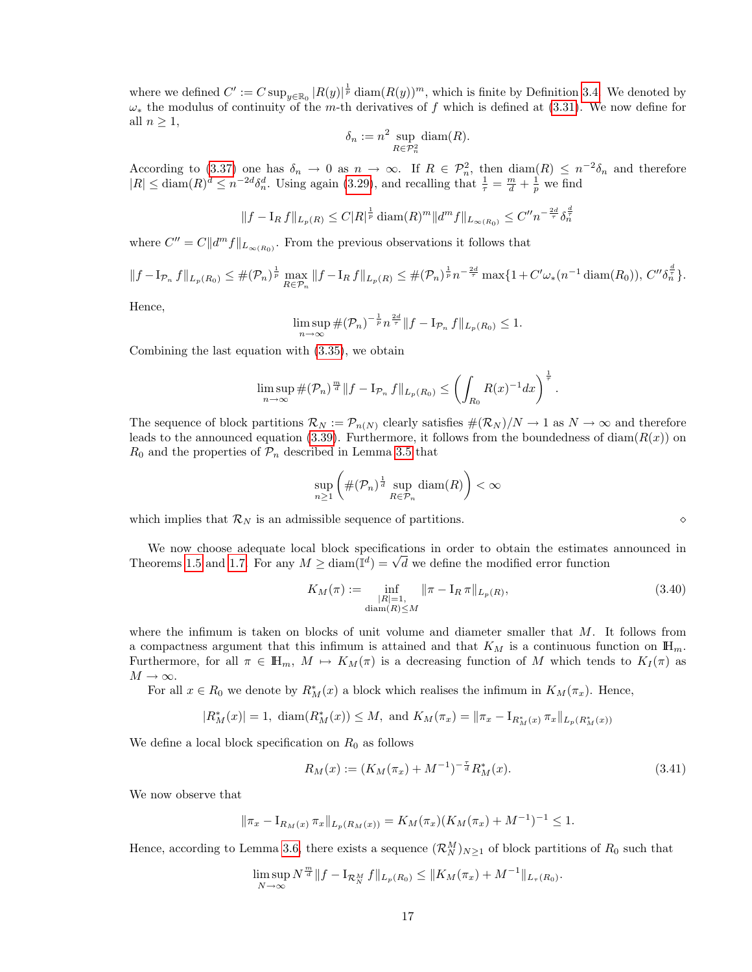where we defined  $C' := C \sup_{y \in \mathbb{R}_0} |R(y)|^{\frac{1}{p}} \operatorname{diam}(R(y))^m$ , which is finite by Definition [3.4.](#page-15-2) We denoted by  $\omega_*$  the modulus of continuity of the m-th derivatives of f which is defined at [\(3.31\)](#page-13-3). We now define for all  $n \geq 1$ ,

$$
\delta_n := n^2 \sup_{R \in \mathcal{P}_n^2} \text{diam}(R).
$$

According to [\(3.37\)](#page-15-3) one has  $\delta_n \to 0$  as  $n \to \infty$ . If  $R \in \mathcal{P}_n^2$ , then  $\text{diam}(R) \leq n^{-2}\delta_n$  and therefore  $|R| \leq \text{diam}(R)^d \leq n^{-2d} \delta_n^d$ . Using again [\(3.29\)](#page-12-2), and recalling that  $\frac{1}{\tau} = \frac{m}{d} + \frac{1}{p}$  we find

$$
||f - I_R f||_{L_p(R)} \leq C|R|^{\frac{1}{p}} \operatorname{diam}(R)^m ||d^m f||_{L_{\infty(R_0)}} \leq C'' n^{-\frac{2d}{\tau}} \delta_n^{\frac{d}{\tau}}
$$

where  $C'' = C||d^m f||_{L_{\infty(R_0)}}$ . From the previous observations it follows that

$$
||f - I_{\mathcal{P}_n} f||_{L_p(R_0)} \leq \#(\mathcal{P}_n)^{\frac{1}{p}} \max_{R \in \mathcal{P}_n} ||f - I_R f||_{L_p(R)} \leq \#(\mathcal{P}_n)^{\frac{1}{p}} n^{-\frac{2d}{\tau}} \max\{1 + C'\omega_*(n^{-1} \operatorname{diam}(R_0)), C''\delta_n^{\frac{d}{\tau}}\}.
$$

Hence,

$$
\limsup_{n \to \infty} \#(\mathcal{P}_n)^{-\frac{1}{p}} n^{\frac{2d}{r}} \|f - I_{\mathcal{P}_n} f\|_{L_p(R_0)} \leq 1.
$$

Combining the last equation with [\(3.35\)](#page-15-4), we obtain

$$
\limsup_{n \to \infty} \#(\mathcal{P}_n)^{\frac{m}{d}} \|f - I_{\mathcal{P}_n} f\|_{L_p(R_0)} \le \left( \int_{R_0} R(x)^{-1} dx \right)^{\frac{1}{\tau}}.
$$

The sequence of block partitions  $\mathcal{R}_N := \mathcal{P}_{n(N)}$  clearly satisfies  $\#(\mathcal{R}_N)/N \to 1$  as  $N \to \infty$  and therefore leads to the announced equation [\(3.39\)](#page-15-5). Furthermore, it follows from the boundedness of diam( $R(x)$ ) on  $R_0$  and the properties of  $\mathcal{P}_n$  described in Lemma [3.5](#page-15-0) that

$$
\sup_{n\geq 1}\left(\#(\mathcal{P}_n)^{\frac{1}{d}}\sup_{R\in\mathcal{P}_n}\text{diam}(R)\right)<\infty
$$

which implies that  $\mathcal{R}_N$  is an admissible sequence of partitions.

We now choose adequate local block specifications in order to obtain the estimates announced in We now choose adequate local block specifications in order to obtain the estimates<br>Theorems [1.5](#page-6-2) and [1.7.](#page-7-1) For any  $M \geq \text{diam}(\mathbb{I}^d) = \sqrt{d}$  we define the modified error function

$$
K_M(\pi) := \inf_{\substack{|R|=1, \\ \text{diam}(R) \le M}} \|\pi - \mathcal{I}_R \pi\|_{L_p(R)},
$$
\n(3.40)

where the infimum is taken on blocks of unit volume and diameter smaller that  $M$ . It follows from a compactness argument that this infimum is attained and that  $K_M$  is a continuous function on  $\mathbb{H}_m$ . Furthermore, for all  $\pi \in \mathbb{H}_m$ ,  $M \mapsto K_M(\pi)$  is a decreasing function of M which tends to  $K_I(\pi)$  as  $M\to\infty.$ 

For all  $x \in R_0$  we denote by  $R_M^*(x)$  a block which realises the infimum in  $K_M(\pi_x)$ . Hence,

$$
|R_M^*(x)| = 1
$$
,  $\text{diam}(R_M^*(x)) \leq M$ , and  $K_M(\pi_x) = \|\pi_x - I_{R_M^*(x)} \pi_x\|_{L_p(R_M^*(x))}$ 

We define a local block specification on  $R_0$  as follows

<span id="page-16-0"></span>
$$
R_M(x) := (K_M(\pi_x) + M^{-1})^{-\frac{\tau}{d}} R_M^*(x).
$$
\n(3.41)

We now observe that

$$
\|\pi_x - I_{R_M(x)}\pi_x\|_{L_p(R_M(x))} = K_M(\pi_x)(K_M(\pi_x) + M^{-1})^{-1} \le 1.
$$

Hence, according to Lemma [3.6,](#page-15-6) there exists a sequence  $(\mathcal{R}_N^M)_{N\geq 1}$  of block partitions of  $R_0$  such that

$$
\limsup_{N \to \infty} N^{\frac{m}{d}} \|f - I_{\mathcal{R}_N^M} f\|_{L_p(R_0)} \le \|K_M(\pi_x) + M^{-1}\|_{L_\tau(R_0)}.
$$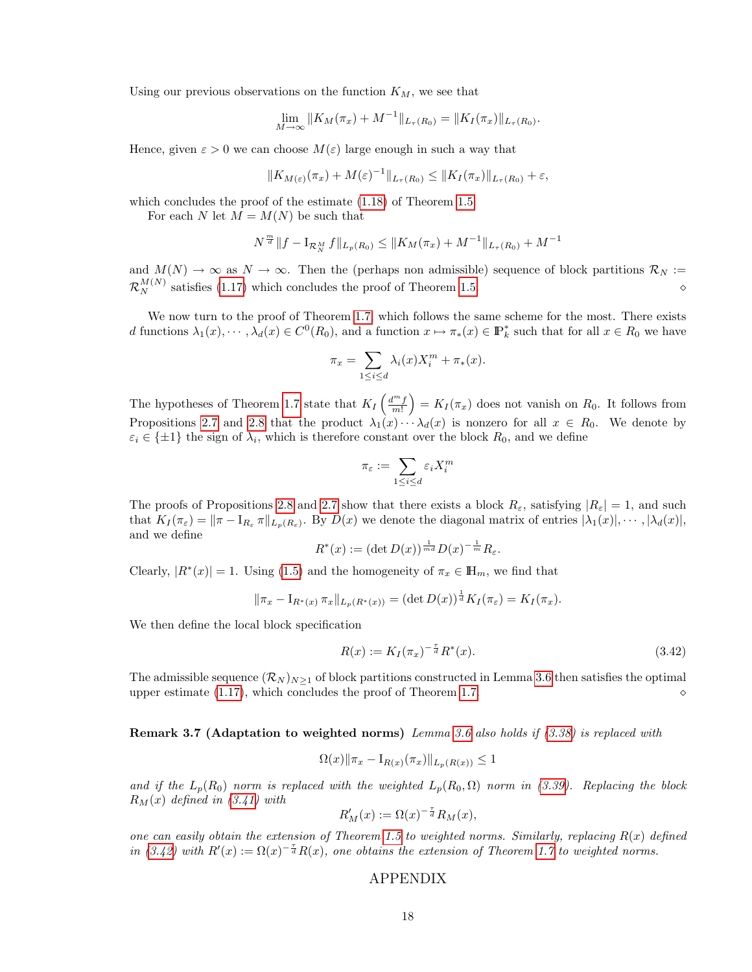Using our previous observations on the function  $K_M$ , we see that

$$
\lim_{M \to \infty} ||K_M(\pi_x) + M^{-1}||_{L_\tau(R_0)} = ||K_I(\pi_x)||_{L_\tau(R_0)}.
$$

Hence, given  $\varepsilon > 0$  we can choose  $M(\varepsilon)$  large enough in such a way that

$$
||K_{M(\varepsilon)}(\pi_x)+M(\varepsilon)^{-1}||_{L_{\tau}(R_0)} \leq ||K_I(\pi_x)||_{L_{\tau}(R_0)} + \varepsilon,
$$

which concludes the proof of the estimate [\(1.18\)](#page-6-4) of Theorem [1.5.](#page-6-2)

For each N let  $M = M(N)$  be such that

$$
N^{\frac{m}{d}} \| f - \mathbf{I}_{\mathcal{R}_N^M} f \|_{L_p(R_0)} \leq \| K_M(\pi_x) + M^{-1} \|_{L_\tau(R_0)} + M^{-1}
$$

and  $M(N) \to \infty$  as  $N \to \infty$ . Then the (perhaps non admissible) sequence of block partitions  $\mathcal{R}_N :=$  $\mathcal{R}_N^{M(N)}$  satisfies [\(1.17\)](#page-6-5) which concludes the proof of Theorem [1.5.](#page-6-2)

We now turn to the proof of Theorem [1.7,](#page-7-1) which follows the same scheme for the most. There exists d functions  $\lambda_1(x), \dots, \lambda_d(x) \in C^0(R_0)$ , and a function  $x \mapsto \pi_*(x) \in \mathbb{P}_k^*$  such that for all  $x \in R_0$  we have

$$
\pi_x = \sum_{1 \le i \le d} \lambda_i(x) X_i^m + \pi_*(x).
$$

The hypotheses of Theorem [1.7](#page-7-1) state that  $K_I\left(\frac{d^m f}{m!}\right) = K_I(\pi_x)$  does not vanish on  $R_0$ . It follows from Propositions [2.7](#page-9-0) and [2.8](#page-9-1) that the product  $\lambda_1(x) \cdots \lambda_d(x)$  is nonzero for all  $x \in R_0$ . We denote by  $\varepsilon_i \in {\pm 1}$  the sign of  $\lambda_i$ , which is therefore constant over the block  $R_0$ , and we define

$$
\pi_{\varepsilon}:=\sum_{1\leq i\leq d}\varepsilon_iX_i^m
$$

The proofs of Propositions [2.8](#page-9-1) and [2.7](#page-9-0) show that there exists a block  $R_{\varepsilon}$ , satisfying  $|R_{\varepsilon}|=1$ , and such that  $K_I(\pi_{\varepsilon}) = ||\pi - I_{R_{\varepsilon}} \pi||_{L_p(R_{\varepsilon})}$ . By  $D(x)$  we denote the diagonal matrix of entries  $|\lambda_1(x)|, \cdots, |\lambda_d(x)|$ , and we define

$$
R^*(x) := (\det D(x))^{\frac{1}{md}} D(x)^{-\frac{1}{m}} R_{\varepsilon}.
$$

Clearly,  $|R^*(x)| = 1$ . Using [\(1.5\)](#page-2-3) and the homogeneity of  $\pi_x \in \mathbb{H}_m$ , we find that

$$
\|\pi_x - I_{R^*(x)} \pi_x\|_{L_p(R^*(x))} = (\det D(x))^{\frac{1}{d}} K_I(\pi_{\varepsilon}) = K_I(\pi_x).
$$

We then define the local block specification

<span id="page-17-0"></span>
$$
R(x) := K_I(\pi_x)^{-\frac{\tau}{d}} R^*(x).
$$
\n(3.42)

The admissible sequence  $(\mathcal{R}_N)_{N>1}$  of block partitions constructed in Lemma [3.6](#page-15-6) then satisfies the optimal upper estimate [\(1.17\)](#page-6-5), which concludes the proof of Theorem [1.7.](#page-7-1)

Remark 3.7 (Adaptation to weighted norms) Lemma [3.6](#page-15-6) also holds if [\(3.38\)](#page-15-7) is replaced with

$$
\Omega(x) \|\pi_x - I_{R(x)}(\pi_x)\|_{L_p(R(x))} \le 1
$$

and if the  $L_p(R_0)$  norm is replaced with the weighted  $L_p(R_0, \Omega)$  norm in [\(3.39\)](#page-15-5). Replacing the block  $R_M(x)$  defined in  $(3.41)$  with

$$
R'_M(x) := \Omega(x)^{-\frac{\tau}{d}} R_M(x),
$$

one can easily obtain the extension of Theorem [1.5](#page-6-2) to weighted norms. Similarly, replacing  $R(x)$  defined in [\(3.42\)](#page-17-0) with  $R'(x) := \Omega(x)^{-\frac{\tau}{d}} R(x)$ , one obtains the extension of Theorem [1.7](#page-7-1) to weighted norms.

#### APPENDIX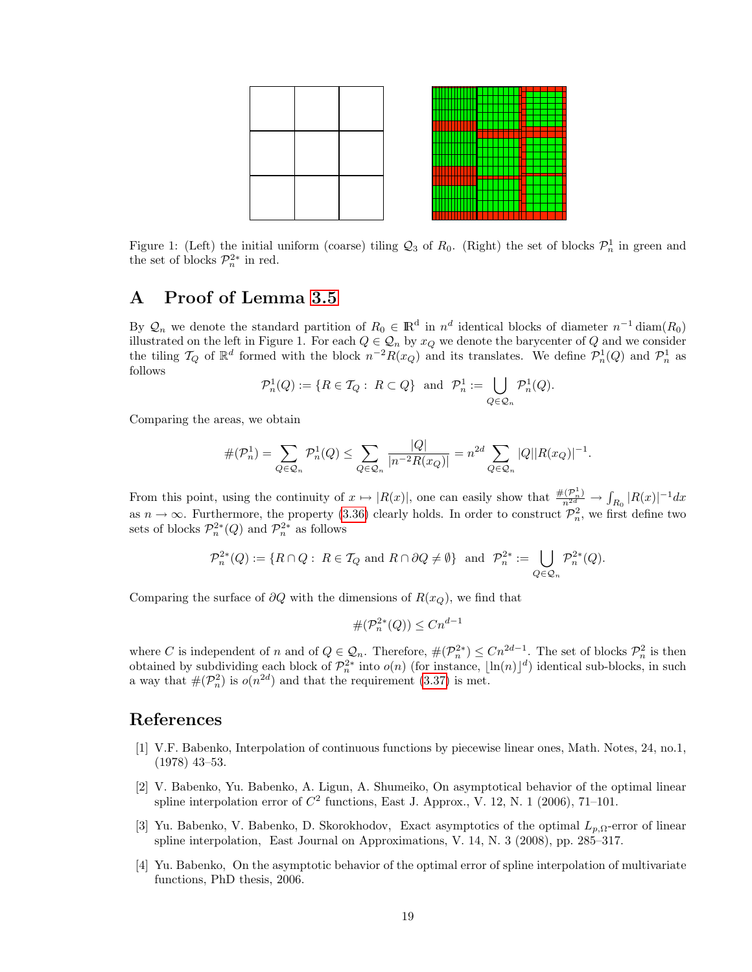

Figure 1: (Left) the initial uniform (coarse) tiling  $\mathcal{Q}_3$  of  $R_0$ . (Right) the set of blocks  $\mathcal{P}_n^1$  in green and the set of blocks  $\mathcal{P}_n^{2*}$  in red.

# A Proof of Lemma [3.5](#page-15-0)

By  $\mathcal{Q}_n$  we denote the standard partition of  $R_0 \in \mathbb{R}^d$  in  $n^d$  identical blocks of diameter  $n^{-1}$  diam $(R_0)$ illustrated on the left in Figure 1. For each  $Q \in \mathcal{Q}_n$  by  $x_Q$  we denote the barycenter of  $Q$  and we consider the tiling  $\mathcal{T}_Q$  of  $\mathbb{R}^d$  formed with the block  $n^{-2}R(x_Q)$  and its translates. We define  $\mathcal{P}_n^1(Q)$  and  $\mathcal{P}_n^1$  as follows

$$
\mathcal{P}_n^1(Q) := \{ R \in \mathcal{T}_Q : \ R \subset Q \} \ \text{ and } \ \mathcal{P}_n^1 := \bigcup_{Q \in \mathcal{Q}_n} \mathcal{P}_n^1(Q).
$$

Comparing the areas, we obtain

$$
\#(\mathcal{P}_n^1) = \sum_{Q \in \mathcal{Q}_n} \mathcal{P}_n^1(Q) \le \sum_{Q \in \mathcal{Q}_n} \frac{|Q|}{|n^{-2}R(x_Q)|} = n^{2d} \sum_{Q \in \mathcal{Q}_n} |Q||R(x_Q)|^{-1}.
$$

From this point, using the continuity of  $x \mapsto |R(x)|$ , one can easily show that  $\frac{\#(\mathcal{P}_n^1)}{n^{2d}} \to \int_{R_0} |R(x)|^{-1} dx$ as  $n \to \infty$ . Furthermore, the property [\(3.36\)](#page-15-1) clearly holds. In order to construct  $\mathcal{P}_n^2$ , we first define two sets of blocks  $\mathcal{P}_n^{2*}(Q)$  and  $\mathcal{P}_n^{2*}$  as follows

$$
\mathcal{P}_n^{2*}(Q) := \{ R \cap Q : \ R \in \mathcal{T}_Q \text{ and } R \cap \partial Q \neq \emptyset \} \text{ and } \mathcal{P}_n^{2*} := \bigcup_{Q \in \mathcal{Q}_n} \mathcal{P}_n^{2*}(Q).
$$

Comparing the surface of  $\partial Q$  with the dimensions of  $R(x_Q)$ , we find that

$$
\#(\mathcal{P}_n^{2*}(Q)) \le Cn^{d-1}
$$

where C is independent of n and of  $Q \in \mathcal{Q}_n$ . Therefore,  $\#(\mathcal{P}_n^{2*}) \leq Cn^{2d-1}$ . The set of blocks  $\mathcal{P}_n^2$  is then obtained by subdividing each block of  $\mathcal{P}_n^{2*}$  into  $o(n)$  (for instance,  $\lfloor \ln(n) \rfloor^d$ ) identical sub-blocks, in such a way that  $\#(\mathcal{P}_n^2)$  is  $o(n^{2d})$  and that the requirement  $(3.37)$  is met.

### References

- <span id="page-18-0"></span>[1] V.F. Babenko, Interpolation of continuous functions by piecewise linear ones, Math. Notes, 24, no.1, (1978) 43–53.
- <span id="page-18-1"></span>[2] V. Babenko, Yu. Babenko, A. Ligun, A. Shumeiko, On asymptotical behavior of the optimal linear spline interpolation error of  $C^2$  functions, East J. Approx., V. 12, N. 1 (2006), 71–101.
- <span id="page-18-2"></span>[3] Yu. Babenko, V. Babenko, D. Skorokhodov, Exact asymptotics of the optimal  $L_{p,\Omega}$ -error of linear spline interpolation, East Journal on Approximations, V. 14, N. 3 (2008), pp. 285–317.
- <span id="page-18-3"></span>[4] Yu. Babenko, On the asymptotic behavior of the optimal error of spline interpolation of multivariate functions, PhD thesis, 2006.